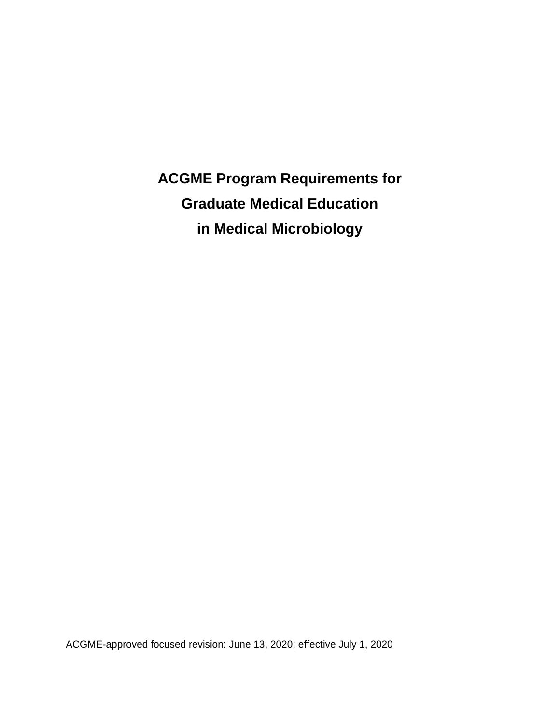**ACGME Program Requirements for Graduate Medical Education in Medical Microbiology**

ACGME-approved focused revision: June 13, 2020; effective July 1, 2020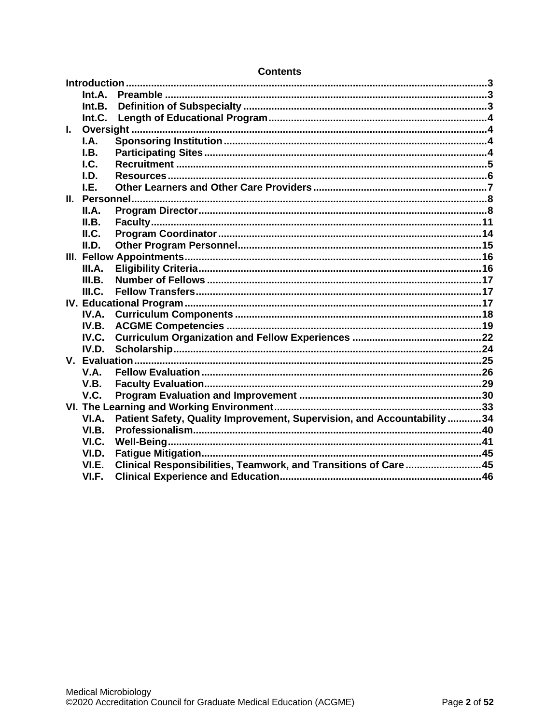|    | Int.A. |                                                                          |  |
|----|--------|--------------------------------------------------------------------------|--|
|    | Int.B. |                                                                          |  |
|    | Int.C. |                                                                          |  |
| L. |        |                                                                          |  |
|    | I.A.   |                                                                          |  |
|    | I.B.   |                                                                          |  |
|    | I.C.   |                                                                          |  |
|    | I.D.   |                                                                          |  |
|    | I.E.   |                                                                          |  |
|    |        |                                                                          |  |
|    | II.A.  |                                                                          |  |
|    | II.B.  |                                                                          |  |
|    | ILC.   |                                                                          |  |
|    | II.D.  |                                                                          |  |
|    |        |                                                                          |  |
|    | III.A. |                                                                          |  |
|    | III.B. |                                                                          |  |
|    | III.C. |                                                                          |  |
|    |        |                                                                          |  |
|    | IV.A.  |                                                                          |  |
|    | IV.B.  |                                                                          |  |
|    | IV.C.  |                                                                          |  |
|    | IV.D.  |                                                                          |  |
|    |        |                                                                          |  |
|    | V.A.   |                                                                          |  |
|    | V.B.   |                                                                          |  |
|    | V.C.   |                                                                          |  |
|    |        |                                                                          |  |
|    | VI.A.  | Patient Safety, Quality Improvement, Supervision, and Accountability  34 |  |
|    | VI.B.  |                                                                          |  |
|    | VI.C.  |                                                                          |  |
|    | VI.D.  |                                                                          |  |
|    | VI.E.  | Clinical Responsibilities, Teamwork, and Transitions of Care45           |  |
|    | VI.F.  |                                                                          |  |

### **Contents**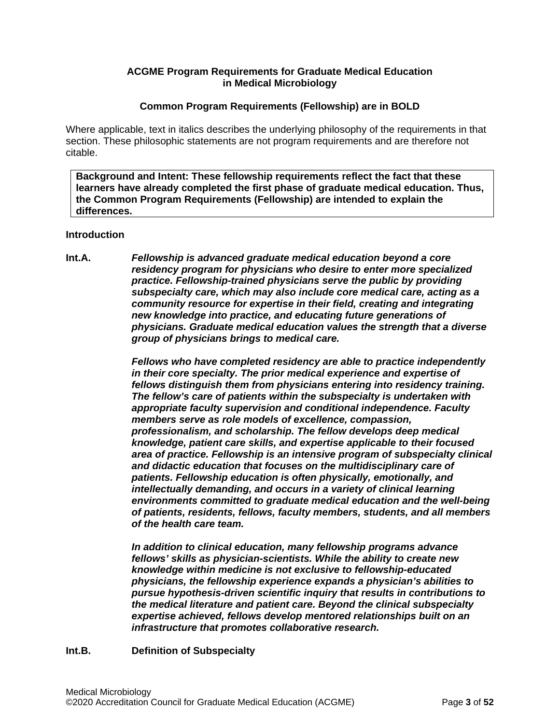### **ACGME Program Requirements for Graduate Medical Education in Medical Microbiology**

### **Common Program Requirements (Fellowship) are in BOLD**

Where applicable, text in italics describes the underlying philosophy of the requirements in that section. These philosophic statements are not program requirements and are therefore not citable.

**Background and Intent: These fellowship requirements reflect the fact that these learners have already completed the first phase of graduate medical education. Thus, the Common Program Requirements (Fellowship) are intended to explain the differences.**

### <span id="page-2-0"></span>**Introduction**

<span id="page-2-1"></span>**Int.A.** *Fellowship is advanced graduate medical education beyond a core residency program for physicians who desire to enter more specialized practice. Fellowship-trained physicians serve the public by providing subspecialty care, which may also include core medical care, acting as a community resource for expertise in their field, creating and integrating new knowledge into practice, and educating future generations of physicians. Graduate medical education values the strength that a diverse group of physicians brings to medical care.*

> *Fellows who have completed residency are able to practice independently in their core specialty. The prior medical experience and expertise of fellows distinguish them from physicians entering into residency training. The fellow's care of patients within the subspecialty is undertaken with appropriate faculty supervision and conditional independence. Faculty members serve as role models of excellence, compassion, professionalism, and scholarship. The fellow develops deep medical knowledge, patient care skills, and expertise applicable to their focused area of practice. Fellowship is an intensive program of subspecialty clinical and didactic education that focuses on the multidisciplinary care of patients. Fellowship education is often physically, emotionally, and intellectually demanding, and occurs in a variety of clinical learning environments committed to graduate medical education and the well-being of patients, residents, fellows, faculty members, students, and all members of the health care team.*

*In addition to clinical education, many fellowship programs advance fellows' skills as physician-scientists. While the ability to create new knowledge within medicine is not exclusive to fellowship-educated physicians, the fellowship experience expands a physician's abilities to pursue hypothesis-driven scientific inquiry that results in contributions to the medical literature and patient care. Beyond the clinical subspecialty expertise achieved, fellows develop mentored relationships built on an infrastructure that promotes collaborative research.*

### <span id="page-2-2"></span>**Int.B. Definition of Subspecialty**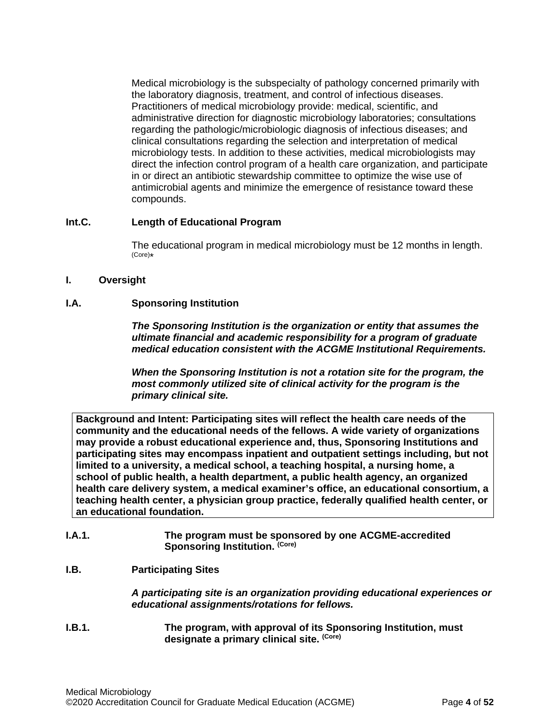Medical microbiology is the subspecialty of pathology concerned primarily with the laboratory diagnosis, treatment, and control of infectious diseases. Practitioners of medical microbiology provide: medical, scientific, and administrative direction for diagnostic microbiology laboratories; consultations regarding the pathologic/microbiologic diagnosis of infectious diseases; and clinical consultations regarding the selection and interpretation of medical microbiology tests. In addition to these activities, medical microbiologists may direct the infection control program of a health care organization, and participate in or direct an antibiotic stewardship committee to optimize the wise use of antimicrobial agents and minimize the emergence of resistance toward these compounds.

### <span id="page-3-0"></span>**Int.C. Length of Educational Program**

The educational program in medical microbiology must be 12 months in length. (Core)\*

### <span id="page-3-1"></span>**I. Oversight**

### <span id="page-3-2"></span>**I.A. Sponsoring Institution**

*The Sponsoring Institution is the organization or entity that assumes the ultimate financial and academic responsibility for a program of graduate medical education consistent with the ACGME Institutional Requirements.*

*When the Sponsoring Institution is not a rotation site for the program, the most commonly utilized site of clinical activity for the program is the primary clinical site.*

**Background and Intent: Participating sites will reflect the health care needs of the community and the educational needs of the fellows. A wide variety of organizations may provide a robust educational experience and, thus, Sponsoring Institutions and participating sites may encompass inpatient and outpatient settings including, but not limited to a university, a medical school, a teaching hospital, a nursing home, a school of public health, a health department, a public health agency, an organized health care delivery system, a medical examiner's office, an educational consortium, a teaching health center, a physician group practice, federally qualified health center, or an educational foundation.**

### **I.A.1. The program must be sponsored by one ACGME-accredited Sponsoring Institution. (Core)**

# <span id="page-3-3"></span>**I.B. Participating Sites**

*A participating site is an organization providing educational experiences or educational assignments/rotations for fellows.*

**I.B.1. The program, with approval of its Sponsoring Institution, must designate a primary clinical site. (Core)**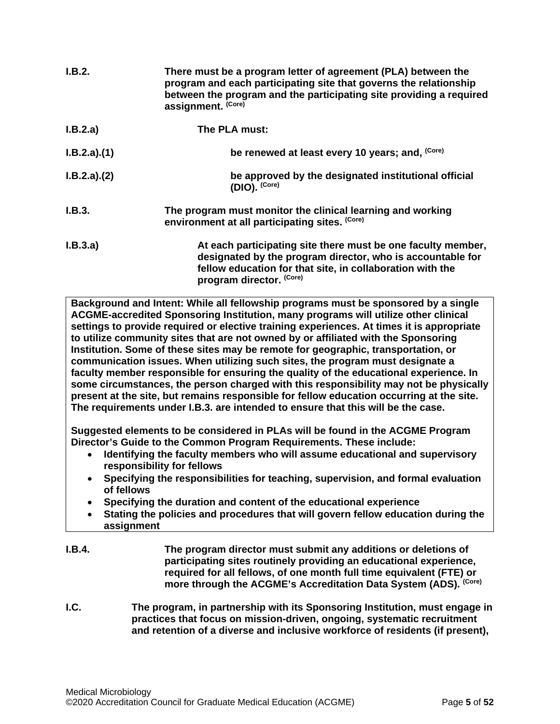| I.B.2.      | There must be a program letter of agreement (PLA) between the<br>program and each participating site that governs the relationship<br>between the program and the participating site providing a required<br>assignment. (Core) |
|-------------|---------------------------------------------------------------------------------------------------------------------------------------------------------------------------------------------------------------------------------|
| I.B.2.a)    | The PLA must:                                                                                                                                                                                                                   |
| I.B.2.a)(1) | be renewed at least every 10 years; and, (Core)                                                                                                                                                                                 |
| I.B.2.a)(2) | be approved by the designated institutional official<br>(DIO). (Core)                                                                                                                                                           |
| I.B.3.      | The program must monitor the clinical learning and working<br>environment at all participating sites. (Core)                                                                                                                    |
| I.B.3.a)    | At each participating site there must be one faculty member,<br>designated by the program director, who is accountable for<br>fellow education for that site, in collaboration with the<br>program director. (Core)             |

**Background and Intent: While all fellowship programs must be sponsored by a single ACGME-accredited Sponsoring Institution, many programs will utilize other clinical settings to provide required or elective training experiences. At times it is appropriate to utilize community sites that are not owned by or affiliated with the Sponsoring Institution. Some of these sites may be remote for geographic, transportation, or communication issues. When utilizing such sites, the program must designate a faculty member responsible for ensuring the quality of the educational experience. In some circumstances, the person charged with this responsibility may not be physically present at the site, but remains responsible for fellow education occurring at the site. The requirements under I.B.3. are intended to ensure that this will be the case.**

**Suggested elements to be considered in PLAs will be found in the ACGME Program Director's Guide to the Common Program Requirements. These include:**

- **Identifying the faculty members who will assume educational and supervisory responsibility for fellows**
- **Specifying the responsibilities for teaching, supervision, and formal evaluation of fellows**
- **Specifying the duration and content of the educational experience**
- **Stating the policies and procedures that will govern fellow education during the assignment**
- **I.B.4. The program director must submit any additions or deletions of participating sites routinely providing an educational experience, required for all fellows, of one month full time equivalent (FTE) or more through the ACGME's Accreditation Data System (ADS). (Core)**
- <span id="page-4-0"></span>**I.C. The program, in partnership with its Sponsoring Institution, must engage in practices that focus on mission-driven, ongoing, systematic recruitment and retention of a diverse and inclusive workforce of residents (if present),**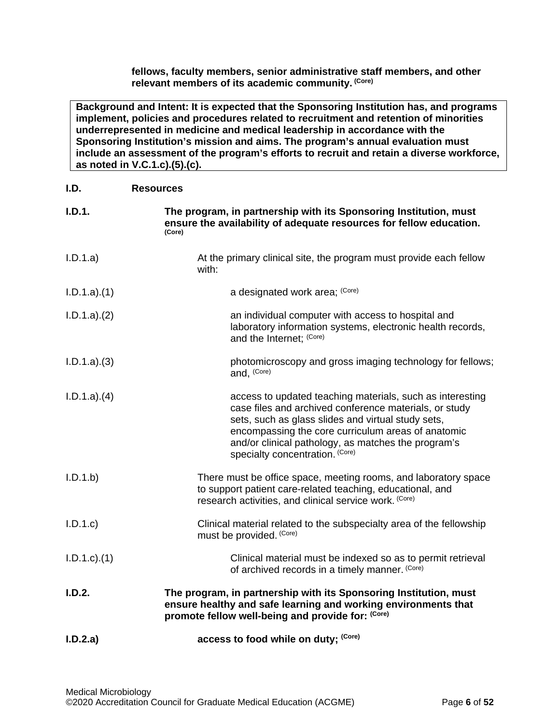**fellows, faculty members, senior administrative staff members, and other relevant members of its academic community. (Core)**

**Background and Intent: It is expected that the Sponsoring Institution has, and programs implement, policies and procedures related to recruitment and retention of minorities underrepresented in medicine and medical leadership in accordance with the Sponsoring Institution's mission and aims. The program's annual evaluation must include an assessment of the program's efforts to recruit and retain a diverse workforce, as noted in V.C.1.c).(5).(c).**

<span id="page-5-0"></span>

| I.D.            | <b>Resources</b>                                                                                                                                                                                                                                                                                                          |
|-----------------|---------------------------------------------------------------------------------------------------------------------------------------------------------------------------------------------------------------------------------------------------------------------------------------------------------------------------|
| I.D.1.          | The program, in partnership with its Sponsoring Institution, must<br>ensure the availability of adequate resources for fellow education.<br>(Core)                                                                                                                                                                        |
| I.D.1.a)        | At the primary clinical site, the program must provide each fellow<br>with:                                                                                                                                                                                                                                               |
| I.D.1.a)(1)     | a designated work area; (Core)                                                                                                                                                                                                                                                                                            |
| I.D.1.a)(2)     | an individual computer with access to hospital and<br>laboratory information systems, electronic health records,<br>and the Internet; (Core)                                                                                                                                                                              |
| I.D.1.a)(3)     | photomicroscopy and gross imaging technology for fellows;<br>and, (Core)                                                                                                                                                                                                                                                  |
| I.D.1.a)(4)     | access to updated teaching materials, such as interesting<br>case files and archived conference materials, or study<br>sets, such as glass slides and virtual study sets,<br>encompassing the core curriculum areas of anatomic<br>and/or clinical pathology, as matches the program's<br>specialty concentration. (Core) |
| I.D.1.b         | There must be office space, meeting rooms, and laboratory space<br>to support patient care-related teaching, educational, and<br>research activities, and clinical service work. (Core)                                                                                                                                   |
| I.D.1.c         | Clinical material related to the subspecialty area of the fellowship<br>must be provided. (Core)                                                                                                                                                                                                                          |
| $I.D.1.c$ $(1)$ | Clinical material must be indexed so as to permit retrieval<br>of archived records in a timely manner. (Core)                                                                                                                                                                                                             |
| I.D.2.          | The program, in partnership with its Sponsoring Institution, must<br>ensure healthy and safe learning and working environments that<br>promote fellow well-being and provide for: (Core)                                                                                                                                  |
| I.D.2.a)        | access to food while on duty; (Core)                                                                                                                                                                                                                                                                                      |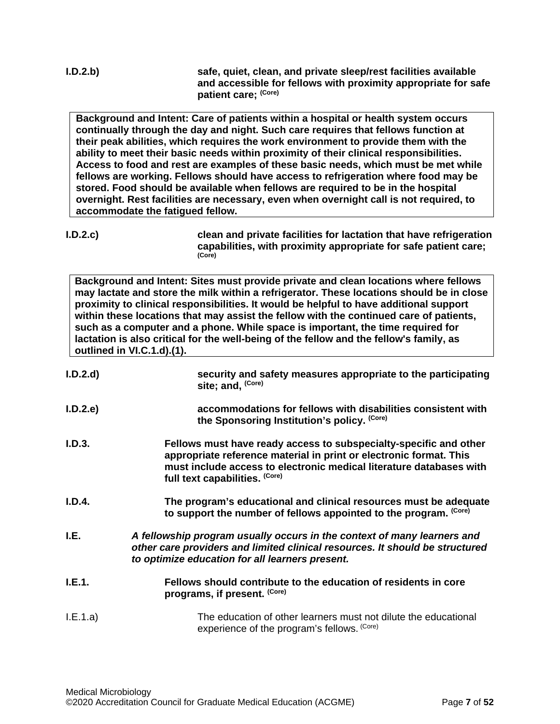**I.D.2.b) safe, quiet, clean, and private sleep/rest facilities available and accessible for fellows with proximity appropriate for safe patient care; (Core)**

**Background and Intent: Care of patients within a hospital or health system occurs continually through the day and night. Such care requires that fellows function at their peak abilities, which requires the work environment to provide them with the ability to meet their basic needs within proximity of their clinical responsibilities. Access to food and rest are examples of these basic needs, which must be met while fellows are working. Fellows should have access to refrigeration where food may be stored. Food should be available when fellows are required to be in the hospital overnight. Rest facilities are necessary, even when overnight call is not required, to accommodate the fatigued fellow.**

**I.D.2.c) clean and private facilities for lactation that have refrigeration capabilities, with proximity appropriate for safe patient care; (Core)**

**Background and Intent: Sites must provide private and clean locations where fellows may lactate and store the milk within a refrigerator. These locations should be in close proximity to clinical responsibilities. It would be helpful to have additional support within these locations that may assist the fellow with the continued care of patients, such as a computer and a phone. While space is important, the time required for lactation is also critical for the well-being of the fellow and the fellow's family, as outlined in VI.C.1.d).(1).**

<span id="page-6-0"></span>

| I.D.2.d  | security and safety measures appropriate to the participating<br>site; and, (Core)                                                                                                                                                               |
|----------|--------------------------------------------------------------------------------------------------------------------------------------------------------------------------------------------------------------------------------------------------|
| I.D.2.e  | accommodations for fellows with disabilities consistent with<br>the Sponsoring Institution's policy. (Core)                                                                                                                                      |
| I.D.3.   | Fellows must have ready access to subspecialty-specific and other<br>appropriate reference material in print or electronic format. This<br>must include access to electronic medical literature databases with<br>full text capabilities. (Core) |
| I.D.4.   | The program's educational and clinical resources must be adequate<br>to support the number of fellows appointed to the program. (Core)                                                                                                           |
| I.E.     | A fellowship program usually occurs in the context of many learners and<br>other care providers and limited clinical resources. It should be structured<br>to optimize education for all learners present.                                       |
| I.E.1.   | Fellows should contribute to the education of residents in core<br>programs, if present. (Core)                                                                                                                                                  |
| I.E.1.a) | The education of other learners must not dilute the educational<br>experience of the program's fellows. (Core)                                                                                                                                   |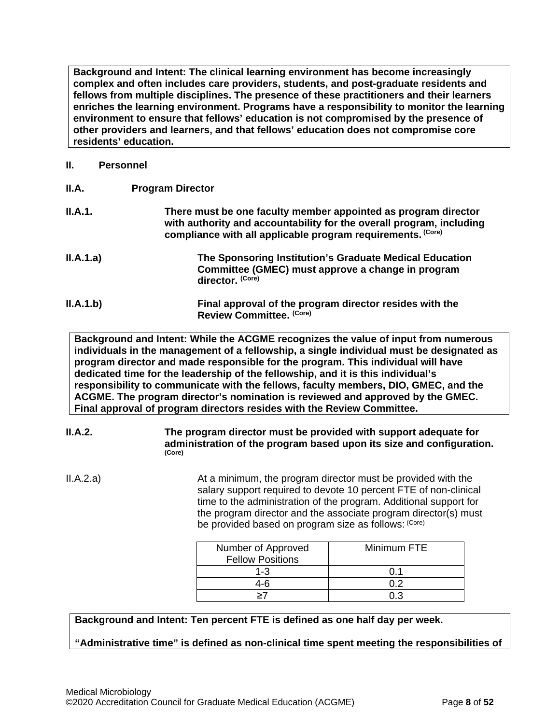**Background and Intent: The clinical learning environment has become increasingly complex and often includes care providers, students, and post-graduate residents and fellows from multiple disciplines. The presence of these practitioners and their learners enriches the learning environment. Programs have a responsibility to monitor the learning environment to ensure that fellows' education is not compromised by the presence of other providers and learners, and that fellows' education does not compromise core residents' education.**

### <span id="page-7-0"></span>**II. Personnel**

<span id="page-7-1"></span>

| II.A.     | <b>Program Director</b>                                                                                                                                                                               |
|-----------|-------------------------------------------------------------------------------------------------------------------------------------------------------------------------------------------------------|
| II.A.1.   | There must be one faculty member appointed as program director<br>with authority and accountability for the overall program, including<br>compliance with all applicable program requirements. (Core) |
| II.A.1.a) | The Sponsoring Institution's Graduate Medical Education<br>Committee (GMEC) must approve a change in program<br>director. (Core)                                                                      |
| II.A.1.b) | Final approval of the program director resides with the<br>Review Committee. (Core)                                                                                                                   |

**Background and Intent: While the ACGME recognizes the value of input from numerous individuals in the management of a fellowship, a single individual must be designated as program director and made responsible for the program. This individual will have dedicated time for the leadership of the fellowship, and it is this individual's responsibility to communicate with the fellows, faculty members, DIO, GMEC, and the ACGME. The program director's nomination is reviewed and approved by the GMEC. Final approval of program directors resides with the Review Committee.**

### **II.A.2. The program director must be provided with support adequate for administration of the program based upon its size and configuration. (Core)**

II.A.2.a) At a minimum, the program director must be provided with the salary support required to devote 10 percent FTE of non-clinical time to the administration of the program. Additional support for the program director and the associate program director(s) must be provided based on program size as follows: (Core)

| Number of Approved      | Minimum FTE |
|-------------------------|-------------|
| <b>Fellow Positions</b> |             |
| 1-3                     | ດ 1         |
| 4-6                     | በ 2         |
|                         |             |

**Background and Intent: Ten percent FTE is defined as one half day per week.** 

**"Administrative time" is defined as non-clinical time spent meeting the responsibilities of**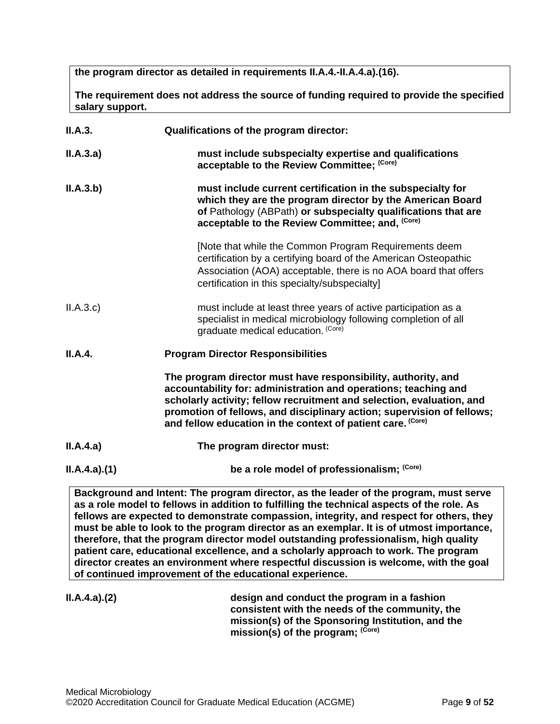**the program director as detailed in requirements II.A.4.-II.A.4.a).(16).** 

**The requirement does not address the source of funding required to provide the specified salary support.**

| II.A.3.     | Qualifications of the program director:                                                                                                                                                                                                                                                                                                            |  |
|-------------|----------------------------------------------------------------------------------------------------------------------------------------------------------------------------------------------------------------------------------------------------------------------------------------------------------------------------------------------------|--|
| II.A.3.a)   | must include subspecialty expertise and qualifications<br>acceptable to the Review Committee; (Core)                                                                                                                                                                                                                                               |  |
| II.A.3.b)   | must include current certification in the subspecialty for<br>which they are the program director by the American Board<br>of Pathology (ABPath) or subspecialty qualifications that are<br>acceptable to the Review Committee; and, (Core)                                                                                                        |  |
|             | [Note that while the Common Program Requirements deem<br>certification by a certifying board of the American Osteopathic<br>Association (AOA) acceptable, there is no AOA board that offers<br>certification in this specialty/subspecialty]                                                                                                       |  |
| II.A.3.c    | must include at least three years of active participation as a<br>specialist in medical microbiology following completion of all<br>graduate medical education. (Core)                                                                                                                                                                             |  |
| II.A.4.     | <b>Program Director Responsibilities</b>                                                                                                                                                                                                                                                                                                           |  |
|             | The program director must have responsibility, authority, and<br>accountability for: administration and operations; teaching and<br>scholarly activity; fellow recruitment and selection, evaluation, and<br>promotion of fellows, and disciplinary action; supervision of fellows;<br>and fellow education in the context of patient care. (Core) |  |
| II.A.4.a)   | The program director must:                                                                                                                                                                                                                                                                                                                         |  |
| ILA.4.a)(1) | be a role model of professionalism; (Core)                                                                                                                                                                                                                                                                                                         |  |
|             | Rackaround and Intont: The program director, as the leader of the program, must serve                                                                                                                                                                                                                                                              |  |

**Background and Intent: The program director, as the leader of the program, must serve as a role model to fellows in addition to fulfilling the technical aspects of the role. As fellows are expected to demonstrate compassion, integrity, and respect for others, they must be able to look to the program director as an exemplar. It is of utmost importance, therefore, that the program director model outstanding professionalism, high quality patient care, educational excellence, and a scholarly approach to work. The program director creates an environment where respectful discussion is welcome, with the goal of continued improvement of the educational experience.**

**II.A.4.a).(2) design and conduct the program in a fashion consistent with the needs of the community, the mission(s) of the Sponsoring Institution, and the mission(s) of the program; (Core)**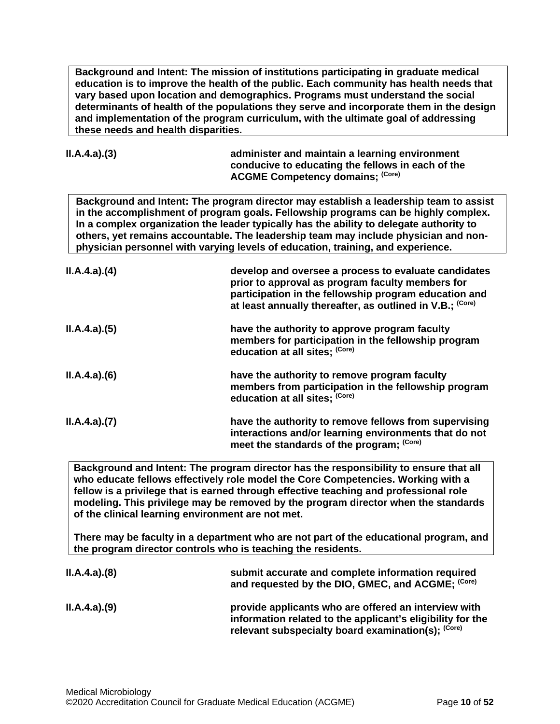**Background and Intent: The mission of institutions participating in graduate medical education is to improve the health of the public. Each community has health needs that vary based upon location and demographics. Programs must understand the social determinants of health of the populations they serve and incorporate them in the design and implementation of the program curriculum, with the ultimate goal of addressing these needs and health disparities.** 

| ILA.4.a)(3) | administer and maintain a learning environment<br>conducive to educating the fellows in each of the |
|-------------|-----------------------------------------------------------------------------------------------------|
|             | <b>ACGME Competency domains; (Core)</b>                                                             |

**Background and Intent: The program director may establish a leadership team to assist in the accomplishment of program goals. Fellowship programs can be highly complex. In a complex organization the leader typically has the ability to delegate authority to others, yet remains accountable. The leadership team may include physician and nonphysician personnel with varying levels of education, training, and experience.**

| ILA.4.a)(4) | develop and oversee a process to evaluate candidates<br>prior to approval as program faculty members for<br>participation in the fellowship program education and<br>at least annually thereafter, as outlined in V.B.; (Core) |
|-------------|--------------------------------------------------------------------------------------------------------------------------------------------------------------------------------------------------------------------------------|
| ILA.4.a)(5) | have the authority to approve program faculty<br>members for participation in the fellowship program<br>education at all sites; (Core)                                                                                         |
| ILA.4.a)(6) | have the authority to remove program faculty<br>members from participation in the fellowship program<br>education at all sites; (Core)                                                                                         |
| ILA.4.a)(7) | have the authority to remove fellows from supervising<br>interactions and/or learning environments that do not<br>meet the standards of the program; (Core)                                                                    |

**Background and Intent: The program director has the responsibility to ensure that all who educate fellows effectively role model the Core Competencies. Working with a fellow is a privilege that is earned through effective teaching and professional role modeling. This privilege may be removed by the program director when the standards of the clinical learning environment are not met.**

**There may be faculty in a department who are not part of the educational program, and the program director controls who is teaching the residents.**

| ILA.4.a)(8) | submit accurate and complete information required<br>and requested by the DIO, GMEC, and ACGME; (Core)                                                                   |
|-------------|--------------------------------------------------------------------------------------------------------------------------------------------------------------------------|
| ILA.4.a)(9) | provide applicants who are offered an interview with<br>information related to the applicant's eligibility for the<br>relevant subspecialty board examination(s); (Core) |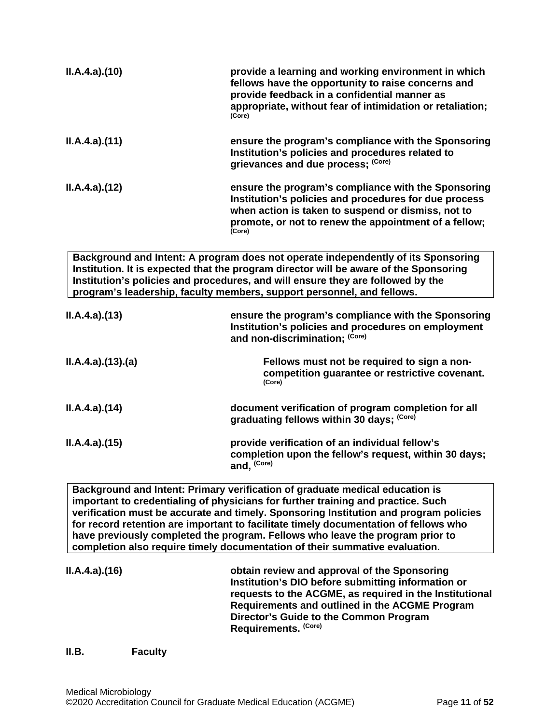| ILA.4.a)(10)    | provide a learning and working environment in which<br>fellows have the opportunity to raise concerns and<br>provide feedback in a confidential manner as<br>appropriate, without fear of intimidation or retaliation;<br>(Core)                                                                                                        |
|-----------------|-----------------------------------------------------------------------------------------------------------------------------------------------------------------------------------------------------------------------------------------------------------------------------------------------------------------------------------------|
| ILA.4.a)(11)    | ensure the program's compliance with the Sponsoring<br>Institution's policies and procedures related to<br>grievances and due process; (Core)                                                                                                                                                                                           |
| ILA.4.a)(12)    | ensure the program's compliance with the Sponsoring<br>Institution's policies and procedures for due process<br>when action is taken to suspend or dismiss, not to<br>promote, or not to renew the appointment of a fellow;<br>(Core)                                                                                                   |
|                 | Background and Intent: A program does not operate independently of its Sponsoring<br>Institution. It is expected that the program director will be aware of the Sponsoring<br>Institution's policies and procedures, and will ensure they are followed by the<br>program's leadership, faculty members, support personnel, and fellows. |
| ILA.4.a)(13)    | ensure the program's compliance with the Sponsoring<br>Institution's policies and procedures on employment<br>and non-discrimination; (Core)                                                                                                                                                                                            |
| ILA.4.a)(13)(a) | Fellows must not be required to sign a non-<br>competition guarantee or restrictive covenant.<br>(Core)                                                                                                                                                                                                                                 |
| II.A.4.a)(14)   | document verification of program completion for all<br>graduating fellows within 30 days; (Core)                                                                                                                                                                                                                                        |
| ILA.4.a)(15)    | provide verification of an individual fellow's<br>completion upon the fellow's request, within 30 days;<br>and, (Core)                                                                                                                                                                                                                  |
|                 | Background and Intent: Primary verification of graduate medical education is<br>important to credentialing of physicians for further training and practice. Such                                                                                                                                                                        |

**verification must be accurate and timely. Sponsoring Institution and program policies for record retention are important to facilitate timely documentation of fellows who have previously completed the program. Fellows who leave the program prior to completion also require timely documentation of their summative evaluation.**

**II.A.4.a).(16) obtain review and approval of the Sponsoring Institution's DIO before submitting information or requests to the ACGME, as required in the Institutional Requirements and outlined in the ACGME Program Director's Guide to the Common Program Requirements. (Core)**

# <span id="page-10-0"></span>**II.B. Faculty**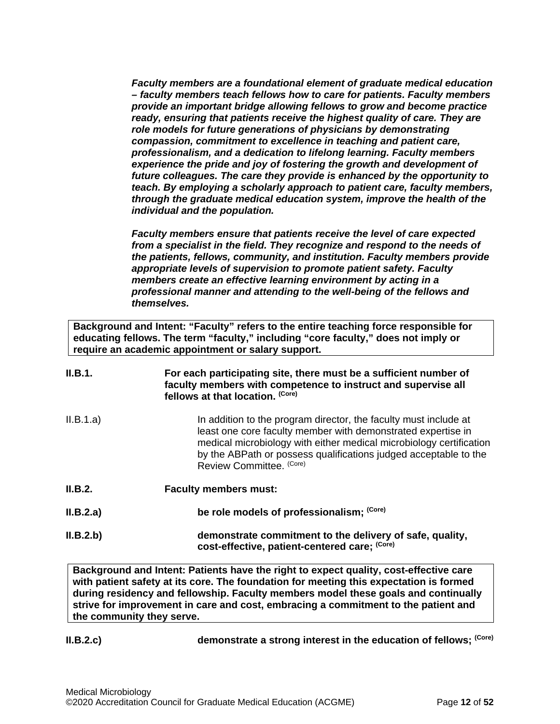*Faculty members are a foundational element of graduate medical education – faculty members teach fellows how to care for patients. Faculty members provide an important bridge allowing fellows to grow and become practice ready, ensuring that patients receive the highest quality of care. They are role models for future generations of physicians by demonstrating compassion, commitment to excellence in teaching and patient care, professionalism, and a dedication to lifelong learning. Faculty members*  experience the pride and joy of fostering the growth and development of *future colleagues. The care they provide is enhanced by the opportunity to teach. By employing a scholarly approach to patient care, faculty members, through the graduate medical education system, improve the health of the individual and the population.*

*Faculty members ensure that patients receive the level of care expected from a specialist in the field. They recognize and respond to the needs of the patients, fellows, community, and institution. Faculty members provide appropriate levels of supervision to promote patient safety. Faculty members create an effective learning environment by acting in a professional manner and attending to the well-being of the fellows and themselves.*

**Background and Intent: "Faculty" refers to the entire teaching force responsible for educating fellows. The term "faculty," including "core faculty," does not imply or require an academic appointment or salary support.**

| II.B.1.   | For each participating site, there must be a sufficient number of<br>faculty members with competence to instruct and supervise all<br>fellows at that location. (Core)                                                                                                                                  |
|-----------|---------------------------------------------------------------------------------------------------------------------------------------------------------------------------------------------------------------------------------------------------------------------------------------------------------|
| II.B.1.a) | In addition to the program director, the faculty must include at<br>least one core faculty member with demonstrated expertise in<br>medical microbiology with either medical microbiology certification<br>by the ABPath or possess qualifications judged acceptable to the<br>Review Committee. (Core) |
| II.B.2.   | <b>Faculty members must:</b>                                                                                                                                                                                                                                                                            |
| II.B.2.a) | be role models of professionalism; (Core)                                                                                                                                                                                                                                                               |
| II.B.2.b) | demonstrate commitment to the delivery of safe, quality,<br>cost-effective, patient-centered care; (Core)                                                                                                                                                                                               |

**Background and Intent: Patients have the right to expect quality, cost-effective care with patient safety at its core. The foundation for meeting this expectation is formed during residency and fellowship. Faculty members model these goals and continually strive for improvement in care and cost, embracing a commitment to the patient and the community they serve.**

**II.B.2.c) demonstrate a strong interest in the education of fellows; (Core)**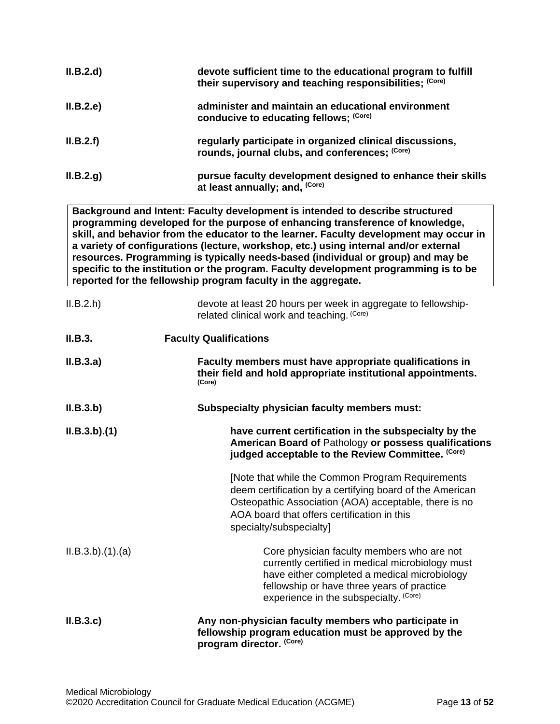| II.B.2.d       | devote sufficient time to the educational program to fulfill<br>their supervisory and teaching responsibilities; (Core)                                                                                                                                                                                                                                                                                                                                                                                                                                                                       |
|----------------|-----------------------------------------------------------------------------------------------------------------------------------------------------------------------------------------------------------------------------------------------------------------------------------------------------------------------------------------------------------------------------------------------------------------------------------------------------------------------------------------------------------------------------------------------------------------------------------------------|
| II.B.2.e       | administer and maintain an educational environment<br>conducive to educating fellows; (Core)                                                                                                                                                                                                                                                                                                                                                                                                                                                                                                  |
| II.B.2.f       | regularly participate in organized clinical discussions,<br>rounds, journal clubs, and conferences; (Core)                                                                                                                                                                                                                                                                                                                                                                                                                                                                                    |
| ILB.2.g)       | pursue faculty development designed to enhance their skills<br>at least annually; and, (Core)                                                                                                                                                                                                                                                                                                                                                                                                                                                                                                 |
|                | Background and Intent: Faculty development is intended to describe structured<br>programming developed for the purpose of enhancing transference of knowledge,<br>skill, and behavior from the educator to the learner. Faculty development may occur in<br>a variety of configurations (lecture, workshop, etc.) using internal and/or external<br>resources. Programming is typically needs-based (individual or group) and may be<br>specific to the institution or the program. Faculty development programming is to be<br>reported for the fellowship program faculty in the aggregate. |
| II.B.2.h       | devote at least 20 hours per week in aggregate to fellowship-<br>related clinical work and teaching. (Core)                                                                                                                                                                                                                                                                                                                                                                                                                                                                                   |
| II.B.3.        | <b>Faculty Qualifications</b>                                                                                                                                                                                                                                                                                                                                                                                                                                                                                                                                                                 |
| II.B.3.a)      | Faculty members must have appropriate qualifications in<br>their field and hold appropriate institutional appointments.<br>(Core)                                                                                                                                                                                                                                                                                                                                                                                                                                                             |
| II.B.3.b)      | Subspecialty physician faculty members must:                                                                                                                                                                                                                                                                                                                                                                                                                                                                                                                                                  |
| ILB.3.b)(1)    | have current certification in the subspecialty by the<br>American Board of Pathology or possess qualifications<br>judged acceptable to the Review Committee. (Core)                                                                                                                                                                                                                                                                                                                                                                                                                           |
|                | [Note that while the Common Program Requirements<br>deem certification by a certifying board of the American<br>Osteopathic Association (AOA) acceptable, there is no<br>AOA board that offers certification in this<br>specialty/subspecialty]                                                                                                                                                                                                                                                                                                                                               |
| ILB.3.b)(1)(a) | Core physician faculty members who are not<br>currently certified in medical microbiology must<br>have either completed a medical microbiology<br>fellowship or have three years of practice<br>experience in the subspecialty. (Core)                                                                                                                                                                                                                                                                                                                                                        |
| II.B.3.c       | Any non-physician faculty members who participate in<br>fellowship program education must be approved by the<br>program director. (Core)                                                                                                                                                                                                                                                                                                                                                                                                                                                      |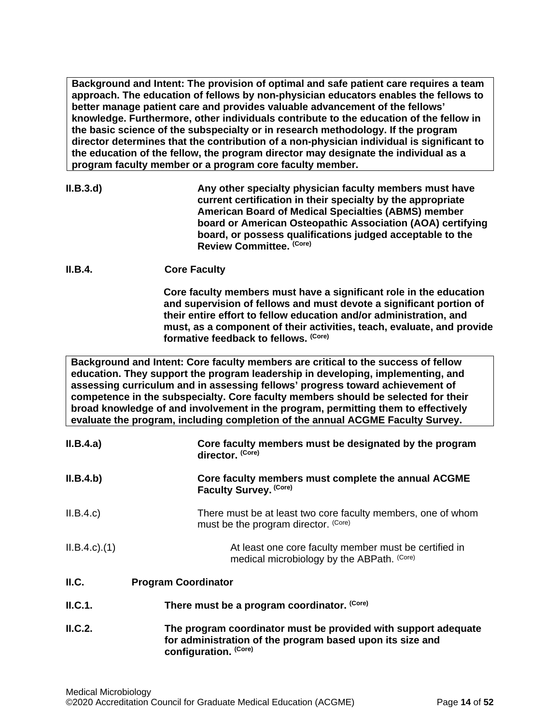**Background and Intent: The provision of optimal and safe patient care requires a team approach. The education of fellows by non-physician educators enables the fellows to better manage patient care and provides valuable advancement of the fellows' knowledge. Furthermore, other individuals contribute to the education of the fellow in the basic science of the subspecialty or in research methodology. If the program director determines that the contribution of a non-physician individual is significant to the education of the fellow, the program director may designate the individual as a program faculty member or a program core faculty member.**

- **II.B.3.d) Any other specialty physician faculty members must have current certification in their specialty by the appropriate American Board of Medical Specialties (ABMS) member board or American Osteopathic Association (AOA) certifying board, or possess qualifications judged acceptable to the Review Committee. (Core)**
- **II.B.4. Core Faculty**

**Core faculty members must have a significant role in the education and supervision of fellows and must devote a significant portion of their entire effort to fellow education and/or administration, and must, as a component of their activities, teach, evaluate, and provide formative feedback to fellows. (Core)**

**Background and Intent: Core faculty members are critical to the success of fellow education. They support the program leadership in developing, implementing, and assessing curriculum and in assessing fellows' progress toward achievement of competence in the subspecialty. Core faculty members should be selected for their broad knowledge of and involvement in the program, permitting them to effectively evaluate the program, including completion of the annual ACGME Faculty Survey.**

| II.B.4.a)         | Core faculty members must be designated by the program<br>director. (Core)                                                  |
|-------------------|-----------------------------------------------------------------------------------------------------------------------------|
| II.B.4.b)         | Core faculty members must complete the annual ACGME<br>Faculty Survey. (Core)                                               |
| II.B.4.c          | There must be at least two core faculty members, one of whom<br>must be the program director. (Core)                        |
| $ILB.4.c$ . $(1)$ | At least one core faculty member must be certified in<br>medical microbiology by the ABPath. (Core)                         |
| II.C.             | <b>Program Coordinator</b>                                                                                                  |
| ILC.1.            | There must be a program coordinator. (Core)                                                                                 |
| ILC.2.            | The program coordinator must be provided with support adequate<br>for administration of the program based upon its size and |

<span id="page-13-0"></span>**configuration. (Core)**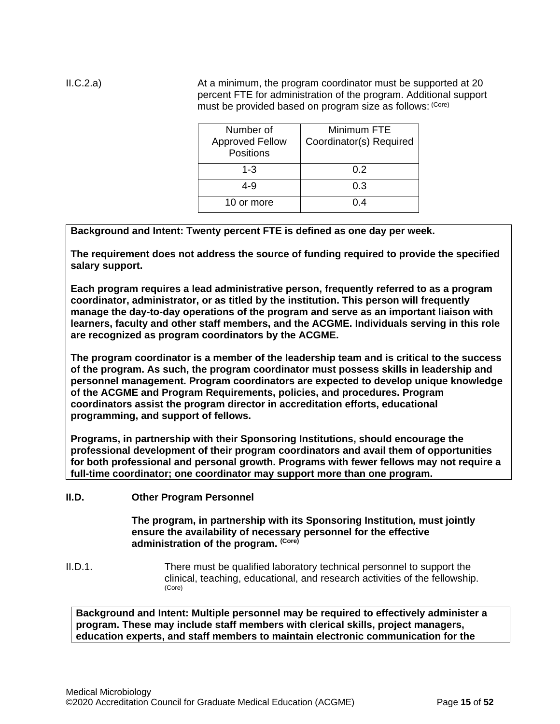II.C.2.a) At a minimum, the program coordinator must be supported at 20 percent FTE for administration of the program. Additional support must be provided based on program size as follows: (Core)

| Number of<br><b>Approved Fellow</b><br><b>Positions</b> | Minimum FTE<br>Coordinator(s) Required |
|---------------------------------------------------------|----------------------------------------|
| $1 - 3$                                                 | 0.2                                    |
| 4-9                                                     | 0.3                                    |
| 10 or more                                              | 1 M                                    |

**Background and Intent: Twenty percent FTE is defined as one day per week.** 

**The requirement does not address the source of funding required to provide the specified salary support.**

**Each program requires a lead administrative person, frequently referred to as a program coordinator, administrator, or as titled by the institution. This person will frequently manage the day-to-day operations of the program and serve as an important liaison with learners, faculty and other staff members, and the ACGME. Individuals serving in this role are recognized as program coordinators by the ACGME.**

**The program coordinator is a member of the leadership team and is critical to the success of the program. As such, the program coordinator must possess skills in leadership and personnel management. Program coordinators are expected to develop unique knowledge of the ACGME and Program Requirements, policies, and procedures. Program coordinators assist the program director in accreditation efforts, educational programming, and support of fellows.**

**Programs, in partnership with their Sponsoring Institutions, should encourage the professional development of their program coordinators and avail them of opportunities for both professional and personal growth. Programs with fewer fellows may not require a full-time coordinator; one coordinator may support more than one program.** 

<span id="page-14-0"></span>**II.D. Other Program Personnel**

**The program, in partnership with its Sponsoring Institution***,* **must jointly ensure the availability of necessary personnel for the effective administration of the program. (Core)**

II.D.1. There must be qualified laboratory technical personnel to support the clinical, teaching, educational, and research activities of the fellowship. (Core)

**Background and Intent: Multiple personnel may be required to effectively administer a program. These may include staff members with clerical skills, project managers, education experts, and staff members to maintain electronic communication for the**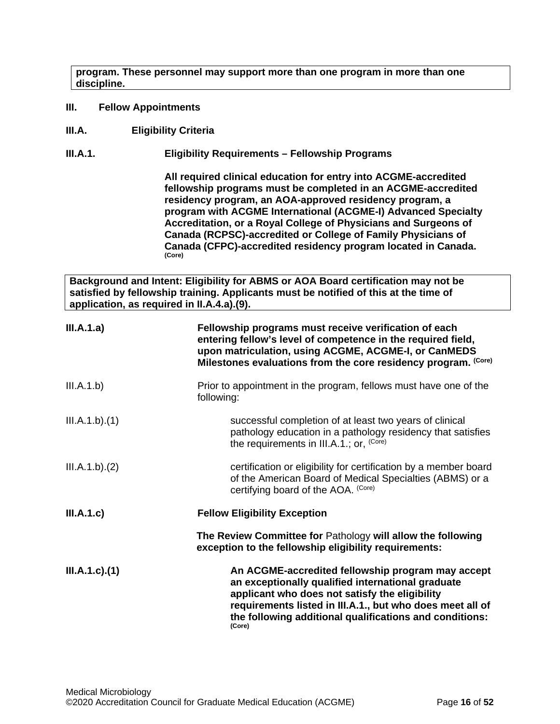**program. These personnel may support more than one program in more than one discipline.**

- <span id="page-15-0"></span>**III. Fellow Appointments**
- <span id="page-15-1"></span>**III.A. Eligibility Criteria**

**III.A.1. Eligibility Requirements – Fellowship Programs**

**All required clinical education for entry into ACGME-accredited fellowship programs must be completed in an ACGME-accredited residency program, an AOA-approved residency program, a program with ACGME International (ACGME-I) Advanced Specialty Accreditation, or a Royal College of Physicians and Surgeons of Canada (RCPSC)-accredited or College of Family Physicians of Canada (CFPC)-accredited residency program located in Canada. (Core)**

**Background and Intent: Eligibility for ABMS or AOA Board certification may not be satisfied by fellowship training. Applicants must be notified of this at the time of application, as required in II.A.4.a).(9).**

| III.A.1.a)           | Fellowship programs must receive verification of each<br>entering fellow's level of competence in the required field,<br>upon matriculation, using ACGME, ACGME-I, or CanMEDS<br>Milestones evaluations from the core residency program. (Core)                                            |
|----------------------|--------------------------------------------------------------------------------------------------------------------------------------------------------------------------------------------------------------------------------------------------------------------------------------------|
| III.A.1.b)           | Prior to appointment in the program, fellows must have one of the<br>following:                                                                                                                                                                                                            |
| III.A.1.b)(1)        | successful completion of at least two years of clinical<br>pathology education in a pathology residency that satisfies<br>the requirements in III.A.1.; or, (Core)                                                                                                                         |
| III.A.1.b)(2)        | certification or eligibility for certification by a member board<br>of the American Board of Medical Specialties (ABMS) or a<br>certifying board of the AOA. (Core)                                                                                                                        |
| III.A.1.c)           | <b>Fellow Eligibility Exception</b>                                                                                                                                                                                                                                                        |
|                      | The Review Committee for Pathology will allow the following<br>exception to the fellowship eligibility requirements:                                                                                                                                                                       |
| $III.A.1.c$ ). $(1)$ | An ACGME-accredited fellowship program may accept<br>an exceptionally qualified international graduate<br>applicant who does not satisfy the eligibility<br>requirements listed in III.A.1., but who does meet all of<br>the following additional qualifications and conditions:<br>(Core) |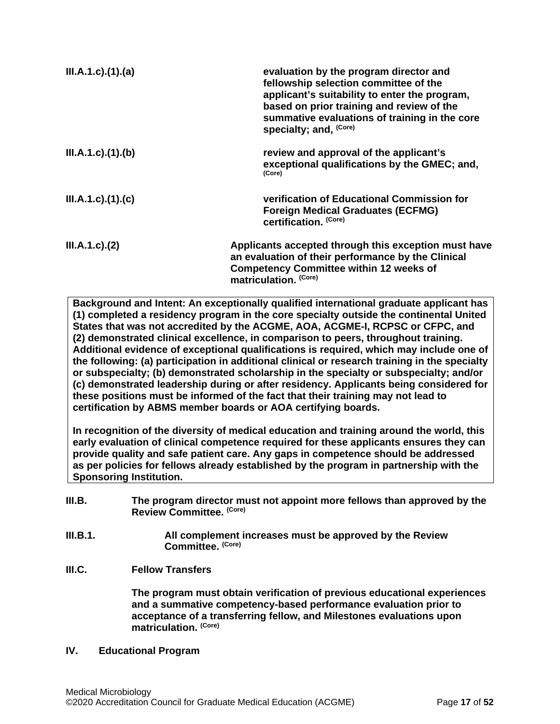| $III.A.1.c$ ). $(1).$ (a) | evaluation by the program director and<br>fellowship selection committee of the<br>applicant's suitability to enter the program,<br>based on prior training and review of the<br>summative evaluations of training in the core<br>specialty; and, (Core) |
|---------------------------|----------------------------------------------------------------------------------------------------------------------------------------------------------------------------------------------------------------------------------------------------------|
| III.A.1.c)(1)(b)          | review and approval of the applicant's<br>exceptional qualifications by the GMEC; and,<br>(Core)                                                                                                                                                         |
| III.A.1.c)(1)(c)          | verification of Educational Commission for<br><b>Foreign Medical Graduates (ECFMG)</b><br>certification. (Core)                                                                                                                                          |
| $III.A.1.c$ ). $(2)$      | Applicants accepted through this exception must have<br>an evaluation of their performance by the Clinical<br><b>Competency Committee within 12 weeks of</b><br>matriculation. (Core)                                                                    |

**Background and Intent: An exceptionally qualified international graduate applicant has (1) completed a residency program in the core specialty outside the continental United States that was not accredited by the ACGME, AOA, ACGME-I, RCPSC or CFPC, and (2) demonstrated clinical excellence, in comparison to peers, throughout training. Additional evidence of exceptional qualifications is required, which may include one of the following: (a) participation in additional clinical or research training in the specialty or subspecialty; (b) demonstrated scholarship in the specialty or subspecialty; and/or (c) demonstrated leadership during or after residency. Applicants being considered for these positions must be informed of the fact that their training may not lead to certification by ABMS member boards or AOA certifying boards.**

**In recognition of the diversity of medical education and training around the world, this early evaluation of clinical competence required for these applicants ensures they can provide quality and safe patient care. Any gaps in competence should be addressed as per policies for fellows already established by the program in partnership with the Sponsoring Institution.**

- <span id="page-16-0"></span>**III.B. The program director must not appoint more fellows than approved by the Review Committee. (Core)**
- **III.B.1. All complement increases must be approved by the Review Committee. (Core)**
- <span id="page-16-1"></span>**III.C. Fellow Transfers**

**The program must obtain verification of previous educational experiences and a summative competency-based performance evaluation prior to acceptance of a transferring fellow, and Milestones evaluations upon matriculation. (Core)**

### <span id="page-16-2"></span>**IV. Educational Program**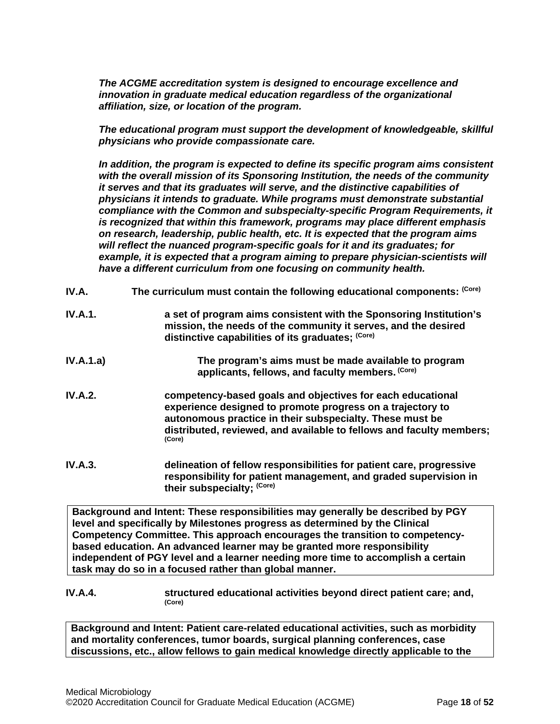*The ACGME accreditation system is designed to encourage excellence and innovation in graduate medical education regardless of the organizational affiliation, size, or location of the program.*

*The educational program must support the development of knowledgeable, skillful physicians who provide compassionate care.*

*In addition, the program is expected to define its specific program aims consistent with the overall mission of its Sponsoring Institution, the needs of the community it serves and that its graduates will serve, and the distinctive capabilities of physicians it intends to graduate. While programs must demonstrate substantial compliance with the Common and subspecialty-specific Program Requirements, it is recognized that within this framework, programs may place different emphasis on research, leadership, public health, etc. It is expected that the program aims will reflect the nuanced program-specific goals for it and its graduates; for example, it is expected that a program aiming to prepare physician-scientists will have a different curriculum from one focusing on community health.*

<span id="page-17-0"></span>

| IV.A. | The curriculum must contain the following educational components: (Core) |
|-------|--------------------------------------------------------------------------|
|       |                                                                          |

- **IV.A.1. a set of program aims consistent with the Sponsoring Institution's mission, the needs of the community it serves, and the desired distinctive capabilities of its graduates; (Core)**
- **IV.A.1.a) The program's aims must be made available to program applicants, fellows, and faculty members. (Core)**
- **IV.A.2. competency-based goals and objectives for each educational experience designed to promote progress on a trajectory to autonomous practice in their subspecialty. These must be distributed, reviewed, and available to fellows and faculty members; (Core)**
- **IV.A.3. delineation of fellow responsibilities for patient care, progressive responsibility for patient management, and graded supervision in their subspecialty; (Core)**

**Background and Intent: These responsibilities may generally be described by PGY level and specifically by Milestones progress as determined by the Clinical Competency Committee. This approach encourages the transition to competencybased education. An advanced learner may be granted more responsibility independent of PGY level and a learner needing more time to accomplish a certain task may do so in a focused rather than global manner.**

# **IV.A.4. structured educational activities beyond direct patient care; and,**  $(Core)$

**Background and Intent: Patient care-related educational activities, such as morbidity and mortality conferences, tumor boards, surgical planning conferences, case discussions, etc., allow fellows to gain medical knowledge directly applicable to the**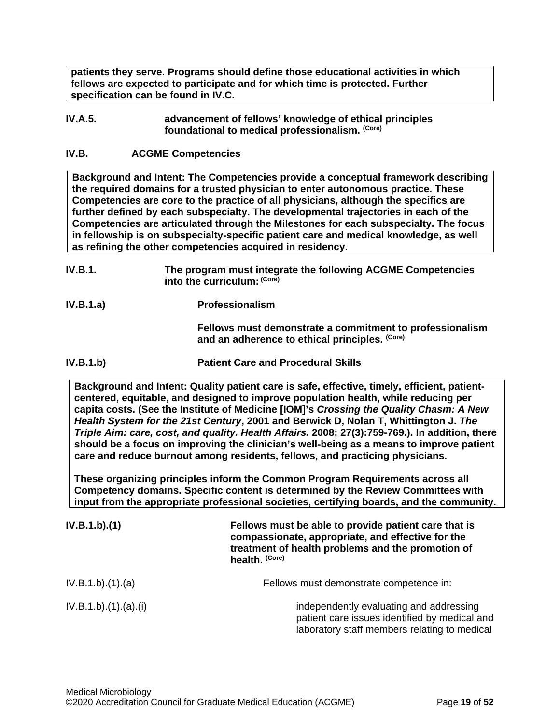**patients they serve. Programs should define those educational activities in which fellows are expected to participate and for which time is protected. Further specification can be found in IV.C.**

#### **IV.A.5. advancement of fellows' knowledge of ethical principles foundational to medical professionalism. (Core)**

### <span id="page-18-0"></span>**IV.B. ACGME Competencies**

**Background and Intent: The Competencies provide a conceptual framework describing the required domains for a trusted physician to enter autonomous practice. These Competencies are core to the practice of all physicians, although the specifics are further defined by each subspecialty. The developmental trajectories in each of the Competencies are articulated through the Milestones for each subspecialty. The focus in fellowship is on subspecialty-specific patient care and medical knowledge, as well as refining the other competencies acquired in residency.**

- **IV.B.1. The program must integrate the following ACGME Competencies into the curriculum: (Core)**
- **IV.B.1.a) Professionalism**

**Fellows must demonstrate a commitment to professionalism and an adherence to ethical principles. (Core)**

**IV.B.1.b) Patient Care and Procedural Skills**

**Background and Intent: Quality patient care is safe, effective, timely, efficient, patientcentered, equitable, and designed to improve population health, while reducing per capita costs. (See the Institute of Medicine [IOM]'s** *Crossing the Quality Chasm: A New Health System for the 21st Century***, 2001 and Berwick D, Nolan T, Whittington J.** *The Triple Aim: care, cost, and quality. Health Affairs.* **2008; 27(3):759-769.). In addition, there should be a focus on improving the clinician's well-being as a means to improve patient care and reduce burnout among residents, fellows, and practicing physicians.**

**These organizing principles inform the Common Program Requirements across all Competency domains. Specific content is determined by the Review Committees with input from the appropriate professional societies, certifying boards, and the community.**

| IV.B.1.b)(1)       | Fellows must be able to provide patient care that is<br>compassionate, appropriate, and effective for the<br>treatment of health problems and the promotion of<br>health. (Core) |
|--------------------|----------------------------------------------------------------------------------------------------------------------------------------------------------------------------------|
| IV.B.1.b)(1)(a)    | Fellows must demonstrate competence in:                                                                                                                                          |
| IV.B.1.b)(1)(a)(i) | independently evaluating and addressing<br>patient care issues identified by medical and<br>laboratory staff members relating to medical                                         |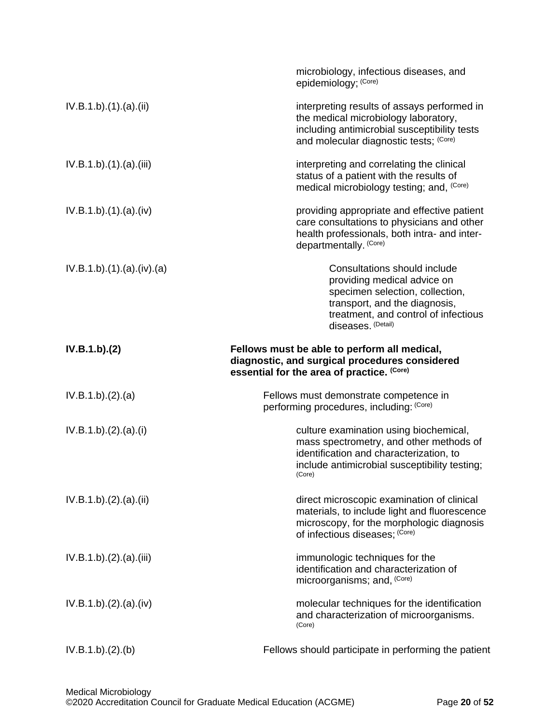|                        | microbiology, infectious diseases, and<br>epidemiology; (Core)                                                                                                                                |
|------------------------|-----------------------------------------------------------------------------------------------------------------------------------------------------------------------------------------------|
| IV.B.1.b)(1)(a)(ii)    | interpreting results of assays performed in<br>the medical microbiology laboratory,<br>including antimicrobial susceptibility tests<br>and molecular diagnostic tests; (Core)                 |
| IV.B.1.b)(1)(a)(iii)   | interpreting and correlating the clinical<br>status of a patient with the results of<br>medical microbiology testing; and, (Core)                                                             |
| IV.B.1.b)(1)(a)(iv)    | providing appropriate and effective patient<br>care consultations to physicians and other<br>health professionals, both intra- and inter-<br>departmentally. (Core)                           |
| IV.B.1.b)(1)(a)(iv)(a) | Consultations should include<br>providing medical advice on<br>specimen selection, collection,<br>transport, and the diagnosis,<br>treatment, and control of infectious<br>diseases. (Detail) |
| IV.B.1.b)(2)           | Fellows must be able to perform all medical,<br>diagnostic, and surgical procedures considered<br>essential for the area of practice. (Core)                                                  |
| IV.B.1.b)(2).(a)       | Fellows must demonstrate competence in<br>performing procedures, including: (Core)                                                                                                            |
| IV.B.1.b)(2).(a)(i)    | culture examination using biochemical,<br>mass spectrometry, and other methods of<br>identification and characterization, to<br>include antimicrobial susceptibility testing;<br>(Core)       |
| IV.B.1.b)(2).(a)(ii)   | direct microscopic examination of clinical<br>materials, to include light and fluorescence<br>microscopy, for the morphologic diagnosis<br>of infectious diseases; (Core)                     |
| IV.B.1.b)(2).(a)(iii)  | immunologic techniques for the<br>identification and characterization of<br>microorganisms; and, (Core)                                                                                       |
| IV.B.1.b)(2).(a)(iv)   | molecular techniques for the identification<br>and characterization of microorganisms.<br>(Core)                                                                                              |
| IV.B.1.b)(2)(b)        | Fellows should participate in performing the patient                                                                                                                                          |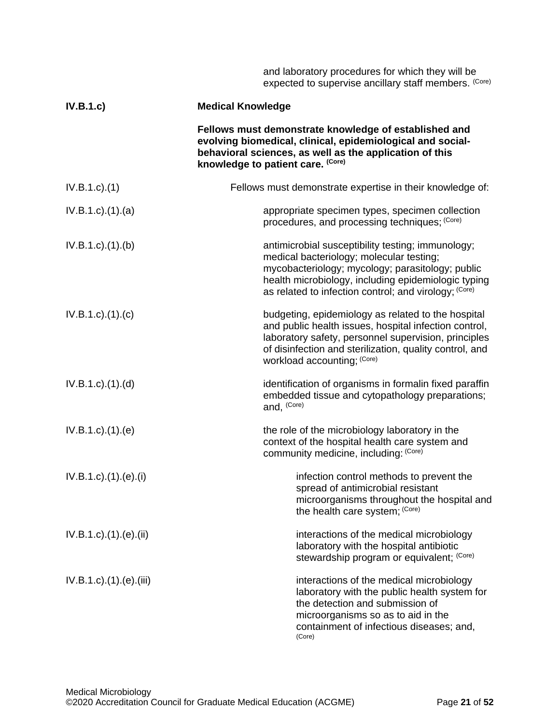|                                  | and laboratory procedures for which they will be<br>expected to supervise ancillary staff members. (Core)                                                                                                                                                         |
|----------------------------------|-------------------------------------------------------------------------------------------------------------------------------------------------------------------------------------------------------------------------------------------------------------------|
| IV.B.1.c)                        | <b>Medical Knowledge</b>                                                                                                                                                                                                                                          |
|                                  | Fellows must demonstrate knowledge of established and<br>evolving biomedical, clinical, epidemiological and social-<br>behavioral sciences, as well as the application of this<br>knowledge to patient care. (Core)                                               |
| $IV.B.1.c$ ). $(1)$              | Fellows must demonstrate expertise in their knowledge of:                                                                                                                                                                                                         |
| $IV.B.1.c$ . $(1).$ $(a)$        | appropriate specimen types, specimen collection<br>procedures, and processing techniques; (Core)                                                                                                                                                                  |
| $IV.B.1.c$ . $(1).$ (b)          | antimicrobial susceptibility testing; immunology;<br>medical bacteriology; molecular testing;<br>mycobacteriology; mycology; parasitology; public<br>health microbiology, including epidemiologic typing<br>as related to infection control; and virology; (Core) |
| $IV.B.1.c$ ). $(1).$ (c)         | budgeting, epidemiology as related to the hospital<br>and public health issues, hospital infection control,<br>laboratory safety, personnel supervision, principles<br>of disinfection and sterilization, quality control, and<br>workload accounting; (Core)     |
| $IV.B.1.c$ . $(1).$ $(d)$        | identification of organisms in formalin fixed paraffin<br>embedded tissue and cytopathology preparations;<br>and, (Core)                                                                                                                                          |
| $IV.B.1.c$ . $(1).$ (e)          | the role of the microbiology laboratory in the<br>context of the hospital health care system and<br>community medicine, including: (Core)                                                                                                                         |
| $IV.B.1.c$ ). $(1).$ (e). $(ii)$ | infection control methods to prevent the<br>spread of antimicrobial resistant<br>microorganisms throughout the hospital and<br>the health care system; (Core)                                                                                                     |
| $IV.B.1.c$ ). $(1).$ (e). $(ii)$ | interactions of the medical microbiology<br>laboratory with the hospital antibiotic<br>stewardship program or equivalent; (Core)                                                                                                                                  |
| IV.B.1.c).(1).(e).(iii)          | interactions of the medical microbiology<br>laboratory with the public health system for<br>the detection and submission of<br>microorganisms so as to aid in the<br>containment of infectious diseases; and,<br>(Core)                                           |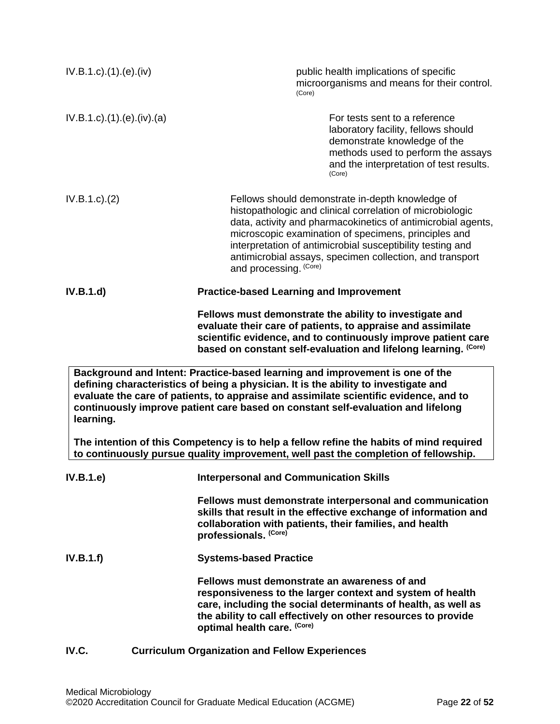<span id="page-21-0"></span>

| $IV.B.1.c$ . $(1).$ $(e)$ . $(iv)$ | public health implications of specific<br>microorganisms and means for their control.<br>(Core)                                                                                                                                                                                                                                                                                           |
|------------------------------------|-------------------------------------------------------------------------------------------------------------------------------------------------------------------------------------------------------------------------------------------------------------------------------------------------------------------------------------------------------------------------------------------|
| IV.B.1.c).(1).(e).(iv).(a)         | For tests sent to a reference<br>laboratory facility, fellows should<br>demonstrate knowledge of the<br>methods used to perform the assays<br>and the interpretation of test results.<br>(Core)                                                                                                                                                                                           |
| IV.B.1.c). (2)                     | Fellows should demonstrate in-depth knowledge of<br>histopathologic and clinical correlation of microbiologic<br>data, activity and pharmacokinetics of antimicrobial agents,<br>microscopic examination of specimens, principles and<br>interpretation of antimicrobial susceptibility testing and<br>antimicrobial assays, specimen collection, and transport<br>and processing. (Core) |
| IV.B.1.d)                          | <b>Practice-based Learning and Improvement</b>                                                                                                                                                                                                                                                                                                                                            |
|                                    | Fellows must demonstrate the ability to investigate and<br>evaluate their care of patients, to appraise and assimilate<br>scientific evidence, and to continuously improve patient care<br>based on constant self-evaluation and lifelong learning. (Core)                                                                                                                                |
| learning.                          | Background and Intent: Practice-based learning and improvement is one of the<br>defining characteristics of being a physician. It is the ability to investigate and<br>evaluate the care of patients, to appraise and assimilate scientific evidence, and to<br>continuously improve patient care based on constant self-evaluation and lifelong                                          |
|                                    | The intention of this Competency is to help a fellow refine the habits of mind required<br>to continuously pursue quality improvement, well past the completion of fellowship.                                                                                                                                                                                                            |
| IV.B.1.e)                          | <b>Interpersonal and Communication Skills</b>                                                                                                                                                                                                                                                                                                                                             |
|                                    | Fellows must demonstrate interpersonal and communication<br>skills that result in the effective exchange of information and<br>collaboration with patients, their families, and health<br>professionals. (Core)                                                                                                                                                                           |
| IV.B.1.f)                          | <b>Systems-based Practice</b>                                                                                                                                                                                                                                                                                                                                                             |
|                                    | Fellows must demonstrate an awareness of and<br>responsiveness to the larger context and system of health<br>care, including the social determinants of health, as well as<br>the ability to call effectively on other resources to provide<br>optimal health care. (Core)                                                                                                                |
| IV.C.                              | <b>Curriculum Organization and Fellow Experiences</b>                                                                                                                                                                                                                                                                                                                                     |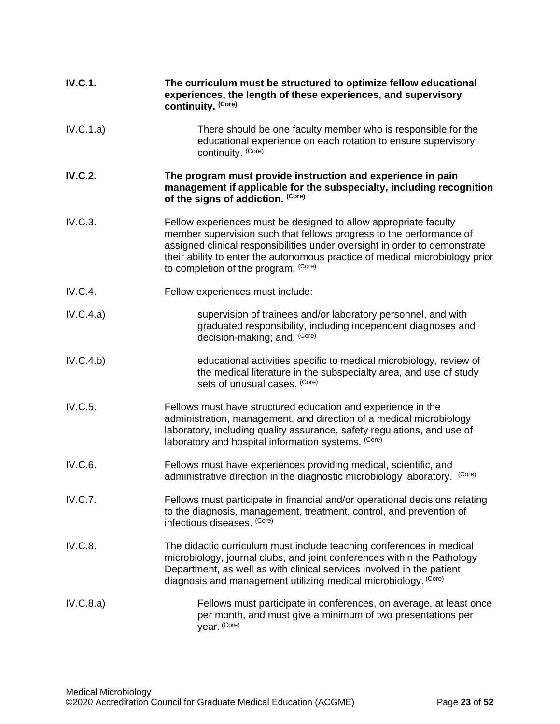| <b>IV.C.1.</b> | The curriculum must be structured to optimize fellow educational<br>experiences, the length of these experiences, and supervisory<br>continuity. (Core)                                                                                                                                                                                       |
|----------------|-----------------------------------------------------------------------------------------------------------------------------------------------------------------------------------------------------------------------------------------------------------------------------------------------------------------------------------------------|
| IV.C.1.a)      | There should be one faculty member who is responsible for the<br>educational experience on each rotation to ensure supervisory<br>continuity. (Core)                                                                                                                                                                                          |
| <b>IV.C.2.</b> | The program must provide instruction and experience in pain<br>management if applicable for the subspecialty, including recognition<br>of the signs of addiction. (Core)                                                                                                                                                                      |
| IV.C.3.        | Fellow experiences must be designed to allow appropriate faculty<br>member supervision such that fellows progress to the performance of<br>assigned clinical responsibilities under oversight in order to demonstrate<br>their ability to enter the autonomous practice of medical microbiology prior<br>to completion of the program. (Core) |
| <b>IV.C.4.</b> | Fellow experiences must include:                                                                                                                                                                                                                                                                                                              |
| IV.C.4.a)      | supervision of trainees and/or laboratory personnel, and with<br>graduated responsibility, including independent diagnoses and<br>decision-making; and, (Core)                                                                                                                                                                                |
| IV.C.4.b)      | educational activities specific to medical microbiology, review of<br>the medical literature in the subspecialty area, and use of study<br>sets of unusual cases. (Core)                                                                                                                                                                      |
| IV.C.5.        | Fellows must have structured education and experience in the<br>administration, management, and direction of a medical microbiology<br>laboratory, including quality assurance, safety regulations, and use of<br>laboratory and hospital information systems. (Core)                                                                         |
| IV.C.6.        | Fellows must have experiences providing medical, scientific, and<br>(Core)<br>administrative direction in the diagnostic microbiology laboratory.                                                                                                                                                                                             |
| <b>IV.C.7.</b> | Fellows must participate in financial and/or operational decisions relating<br>to the diagnosis, management, treatment, control, and prevention of<br>infectious diseases. (Core)                                                                                                                                                             |
| IV.C.8.        | The didactic curriculum must include teaching conferences in medical<br>microbiology, journal clubs, and joint conferences within the Pathology<br>Department, as well as with clinical services involved in the patient<br>diagnosis and management utilizing medical microbiology. (Core)                                                   |
| IV.C.8.a)      | Fellows must participate in conferences, on average, at least once<br>per month, and must give a minimum of two presentations per<br>year. (Core)                                                                                                                                                                                             |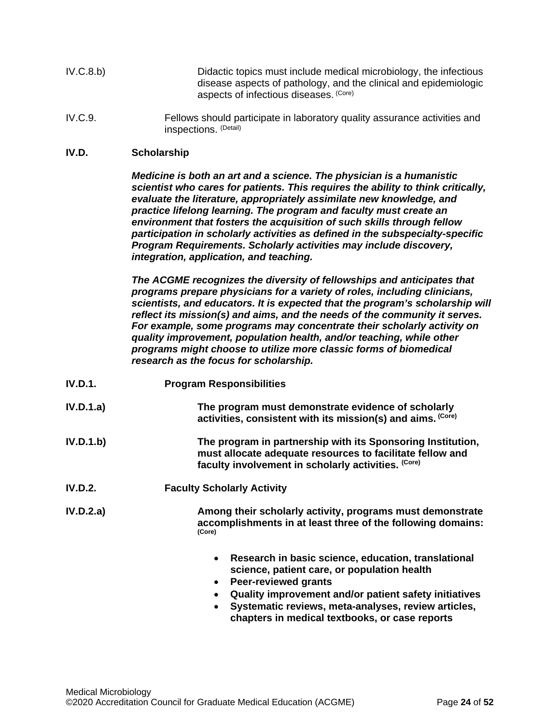| IV.C.8.b) | Didactic topics must include medical microbiology, the infectious |
|-----------|-------------------------------------------------------------------|
|           | disease aspects of pathology, and the clinical and epidemiologic  |
|           | aspects of infectious diseases. (Core)                            |

IV.C.9. Fellows should participate in laboratory quality assurance activities and inspections. (Detail)

### <span id="page-23-0"></span>**IV.D. Scholarship**

*Medicine is both an art and a science. The physician is a humanistic scientist who cares for patients. This requires the ability to think critically, evaluate the literature, appropriately assimilate new knowledge, and practice lifelong learning. The program and faculty must create an environment that fosters the acquisition of such skills through fellow participation in scholarly activities as defined in the subspecialty-specific Program Requirements. Scholarly activities may include discovery, integration, application, and teaching.*

*The ACGME recognizes the diversity of fellowships and anticipates that programs prepare physicians for a variety of roles, including clinicians, scientists, and educators. It is expected that the program's scholarship will reflect its mission(s) and aims, and the needs of the community it serves. For example, some programs may concentrate their scholarly activity on quality improvement, population health, and/or teaching, while other programs might choose to utilize more classic forms of biomedical research as the focus for scholarship.*

- **IV.D.1. Program Responsibilities**
- **IV.D.1.a) The program must demonstrate evidence of scholarly activities, consistent with its mission(s) and aims. (Core)**
- **IV.D.1.b) The program in partnership with its Sponsoring Institution, must allocate adequate resources to facilitate fellow and faculty involvement in scholarly activities. (Core)**
- **IV.D.2. Faculty Scholarly Activity**

**IV.D.2.a) Among their scholarly activity, programs must demonstrate accomplishments in at least three of the following domains: (Core)**

- **Research in basic science, education, translational science, patient care, or population health**
- **Peer-reviewed grants**
- **Quality improvement and/or patient safety initiatives**
- **Systematic reviews, meta-analyses, review articles, chapters in medical textbooks, or case reports**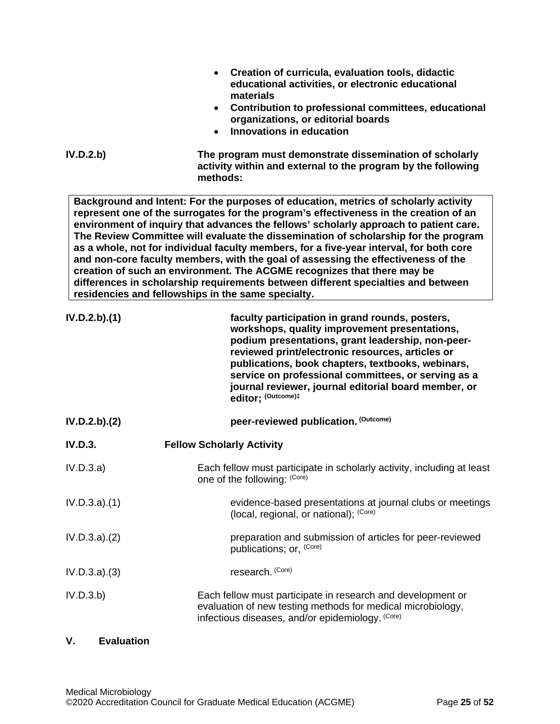|                   | Creation of curricula, evaluation tools, didactic<br>educational activities, or electronic educational<br>materials                                                                                                                                                                                                                                                                                                                                                                                                                                                                                                                                                                                                                                                |
|-------------------|--------------------------------------------------------------------------------------------------------------------------------------------------------------------------------------------------------------------------------------------------------------------------------------------------------------------------------------------------------------------------------------------------------------------------------------------------------------------------------------------------------------------------------------------------------------------------------------------------------------------------------------------------------------------------------------------------------------------------------------------------------------------|
|                   | Contribution to professional committees, educational<br>$\bullet$<br>organizations, or editorial boards<br>Innovations in education<br>$\bullet$                                                                                                                                                                                                                                                                                                                                                                                                                                                                                                                                                                                                                   |
| IV.D.2.b)         | The program must demonstrate dissemination of scholarly<br>activity within and external to the program by the following<br>methods:                                                                                                                                                                                                                                                                                                                                                                                                                                                                                                                                                                                                                                |
|                   | Background and Intent: For the purposes of education, metrics of scholarly activity<br>represent one of the surrogates for the program's effectiveness in the creation of an<br>environment of inquiry that advances the fellows' scholarly approach to patient care.<br>The Review Committee will evaluate the dissemination of scholarship for the program<br>as a whole, not for individual faculty members, for a five-year interval, for both core<br>and non-core faculty members, with the goal of assessing the effectiveness of the<br>creation of such an environment. The ACGME recognizes that there may be<br>differences in scholarship requirements between different specialties and between<br>residencies and fellowships in the same specialty. |
| IV.D.2.b).(1)     | faculty participation in grand rounds, posters,<br>workshops, quality improvement presentations,<br>podium presentations, grant leadership, non-peer-<br>reviewed print/electronic resources, articles or<br>publications, book chapters, textbooks, webinars,<br>service on professional committees, or serving as a<br>journal reviewer, journal editorial board member, or<br>editor; (Outcome)#                                                                                                                                                                                                                                                                                                                                                                |
| IV.D.2.b).(2)     | peer-reviewed publication. (Outcome)                                                                                                                                                                                                                                                                                                                                                                                                                                                                                                                                                                                                                                                                                                                               |
| IV.D.3.           | <b>Fellow Scholarly Activity</b>                                                                                                                                                                                                                                                                                                                                                                                                                                                                                                                                                                                                                                                                                                                                   |
| IV.D.3.a)         | Each fellow must participate in scholarly activity, including at least<br>one of the following: (Core)                                                                                                                                                                                                                                                                                                                                                                                                                                                                                                                                                                                                                                                             |
| IV.D.3.a)(1)      | evidence-based presentations at journal clubs or meetings<br>(local, regional, or national); (Core)                                                                                                                                                                                                                                                                                                                                                                                                                                                                                                                                                                                                                                                                |
| $IV.D.3.a$ $.(2)$ | preparation and submission of articles for peer-reviewed<br>publications; or, (Core)                                                                                                                                                                                                                                                                                                                                                                                                                                                                                                                                                                                                                                                                               |
| IV.D.3.a). (3)    | research. (Core)                                                                                                                                                                                                                                                                                                                                                                                                                                                                                                                                                                                                                                                                                                                                                   |
| IV.D.3.b)         | Each fellow must participate in research and development or<br>evaluation of new testing methods for medical microbiology,<br>infectious diseases, and/or epidemiology. (Core)                                                                                                                                                                                                                                                                                                                                                                                                                                                                                                                                                                                     |

# <span id="page-24-0"></span>**V. Evaluation**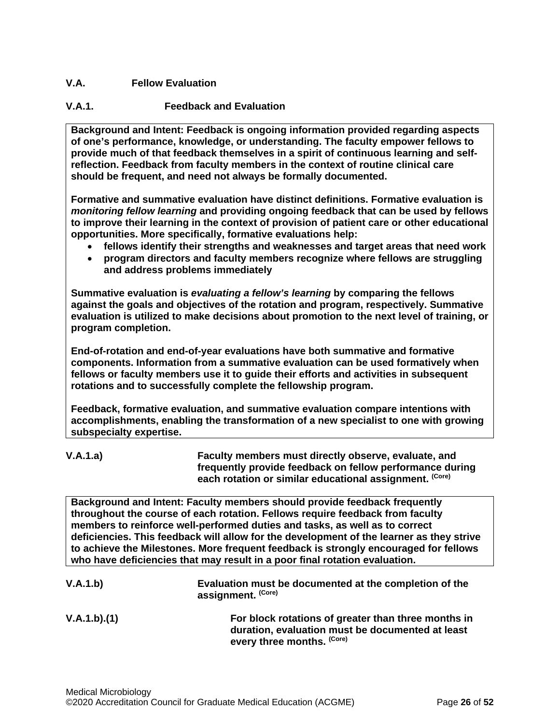# <span id="page-25-0"></span>**V.A. Fellow Evaluation**

# **V.A.1. Feedback and Evaluation**

**Background and Intent: Feedback is ongoing information provided regarding aspects of one's performance, knowledge, or understanding. The faculty empower fellows to provide much of that feedback themselves in a spirit of continuous learning and selfreflection. Feedback from faculty members in the context of routine clinical care should be frequent, and need not always be formally documented.**

**Formative and summative evaluation have distinct definitions. Formative evaluation is**  *monitoring fellow learning* **and providing ongoing feedback that can be used by fellows to improve their learning in the context of provision of patient care or other educational opportunities. More specifically, formative evaluations help:**

- **fellows identify their strengths and weaknesses and target areas that need work**
- **program directors and faculty members recognize where fellows are struggling and address problems immediately**

**Summative evaluation is** *evaluating a fellow's learning* **by comparing the fellows against the goals and objectives of the rotation and program, respectively. Summative evaluation is utilized to make decisions about promotion to the next level of training, or program completion.**

**End-of-rotation and end-of-year evaluations have both summative and formative components. Information from a summative evaluation can be used formatively when fellows or faculty members use it to guide their efforts and activities in subsequent rotations and to successfully complete the fellowship program.**

**Feedback, formative evaluation, and summative evaluation compare intentions with accomplishments, enabling the transformation of a new specialist to one with growing subspecialty expertise.** 

**V.A.1.a) Faculty members must directly observe, evaluate, and frequently provide feedback on fellow performance during each rotation or similar educational assignment. (Core)**

**Background and Intent: Faculty members should provide feedback frequently throughout the course of each rotation. Fellows require feedback from faculty members to reinforce well-performed duties and tasks, as well as to correct deficiencies. This feedback will allow for the development of the learner as they strive to achieve the Milestones. More frequent feedback is strongly encouraged for fellows who have deficiencies that may result in a poor final rotation evaluation.**

| V.A.1.b)    | Evaluation must be documented at the completion of the<br>assignment. (Core)                                                          |
|-------------|---------------------------------------------------------------------------------------------------------------------------------------|
| V.A.1.b)(1) | For block rotations of greater than three months in<br>duration, evaluation must be documented at least<br>every three months. (Core) |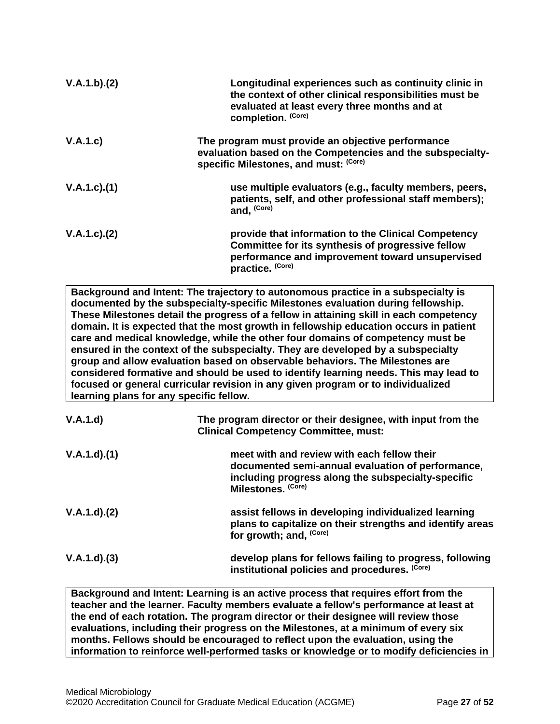| V.A.1.b)(2)       | Longitudinal experiences such as continuity clinic in<br>the context of other clinical responsibilities must be<br>evaluated at least every three months and at<br>completion. (Core) |
|-------------------|---------------------------------------------------------------------------------------------------------------------------------------------------------------------------------------|
| V.A.1.c)          | The program must provide an objective performance<br>evaluation based on the Competencies and the subspecialty-<br>specific Milestones, and must: (Core)                              |
| $V.A.1.c$ . $(1)$ | use multiple evaluators (e.g., faculty members, peers,<br>patients, self, and other professional staff members);<br>and, (Core)                                                       |
| V.A.1.c.2)        | provide that information to the Clinical Competency<br>Committee for its synthesis of progressive fellow<br>performance and improvement toward unsupervised<br>practice. (Core)       |

**Background and Intent: The trajectory to autonomous practice in a subspecialty is documented by the subspecialty-specific Milestones evaluation during fellowship. These Milestones detail the progress of a fellow in attaining skill in each competency domain. It is expected that the most growth in fellowship education occurs in patient care and medical knowledge, while the other four domains of competency must be ensured in the context of the subspecialty. They are developed by a subspecialty group and allow evaluation based on observable behaviors. The Milestones are considered formative and should be used to identify learning needs. This may lead to focused or general curricular revision in any given program or to individualized learning plans for any specific fellow.**

| V.A.1.d)    | The program director or their designee, with input from the<br><b>Clinical Competency Committee, must:</b>                                                                   |
|-------------|------------------------------------------------------------------------------------------------------------------------------------------------------------------------------|
| V.A.1.d)(1) | meet with and review with each fellow their<br>documented semi-annual evaluation of performance,<br>including progress along the subspecialty-specific<br>Milestones. (Core) |
| V.A.1.d)(2) | assist fellows in developing individualized learning<br>plans to capitalize on their strengths and identify areas<br>for growth; and, (Core)                                 |
| V.A.1.d)(3) | develop plans for fellows failing to progress, following<br>institutional policies and procedures. (Core)                                                                    |

**Background and Intent: Learning is an active process that requires effort from the teacher and the learner. Faculty members evaluate a fellow's performance at least at the end of each rotation. The program director or their designee will review those evaluations, including their progress on the Milestones, at a minimum of every six months. Fellows should be encouraged to reflect upon the evaluation, using the information to reinforce well-performed tasks or knowledge or to modify deficiencies in**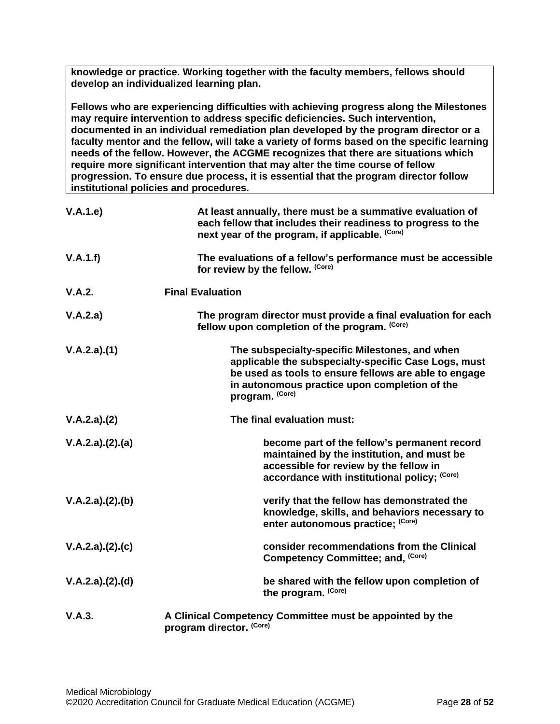**knowledge or practice. Working together with the faculty members, fellows should develop an individualized learning plan.**

**Fellows who are experiencing difficulties with achieving progress along the Milestones may require intervention to address specific deficiencies. Such intervention, documented in an individual remediation plan developed by the program director or a faculty mentor and the fellow, will take a variety of forms based on the specific learning needs of the fellow. However, the ACGME recognizes that there are situations which require more significant intervention that may alter the time course of fellow progression. To ensure due process, it is essential that the program director follow institutional policies and procedures.**

| V.A.1.e         | At least annually, there must be a summative evaluation of<br>each fellow that includes their readiness to progress to the<br>next year of the program, if applicable. (Core)                                                       |
|-----------------|-------------------------------------------------------------------------------------------------------------------------------------------------------------------------------------------------------------------------------------|
| V.A.1.f)        | The evaluations of a fellow's performance must be accessible<br>for review by the fellow. (Core)                                                                                                                                    |
| V.A.2.          | <b>Final Evaluation</b>                                                                                                                                                                                                             |
| V.A.2.a)        | The program director must provide a final evaluation for each<br>fellow upon completion of the program. (Core)                                                                                                                      |
| V.A.2.a)(1)     | The subspecialty-specific Milestones, and when<br>applicable the subspecialty-specific Case Logs, must<br>be used as tools to ensure fellows are able to engage<br>in autonomous practice upon completion of the<br>program. (Core) |
| V.A.2.a)(2)     | The final evaluation must:                                                                                                                                                                                                          |
| V.A.2.a)(2).(a) | become part of the fellow's permanent record<br>maintained by the institution, and must be<br>accessible for review by the fellow in<br>accordance with institutional policy; (Core)                                                |
| V.A.2.a)(2).(b) | verify that the fellow has demonstrated the<br>knowledge, skills, and behaviors necessary to<br>enter autonomous practice; (Core)                                                                                                   |
| V.A.2.a)(2).(c) | consider recommendations from the Clinical<br>Competency Committee; and, (Core)                                                                                                                                                     |
| V.A.2.a)(2).(d) | be shared with the fellow upon completion of<br>the program. (Core)                                                                                                                                                                 |
| V.A.3.          | A Clinical Competency Committee must be appointed by the<br>program director. (Core)                                                                                                                                                |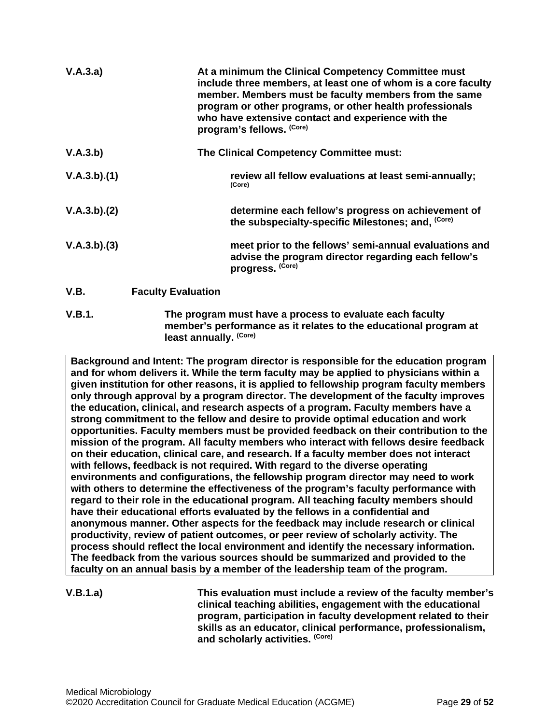| V.A.3.a)    |                           | At a minimum the Clinical Competency Committee must<br>include three members, at least one of whom is a core faculty<br>member. Members must be faculty members from the same<br>program or other programs, or other health professionals<br>who have extensive contact and experience with the<br>program's fellows. (Core) |
|-------------|---------------------------|------------------------------------------------------------------------------------------------------------------------------------------------------------------------------------------------------------------------------------------------------------------------------------------------------------------------------|
| V.A.3.b)    |                           | The Clinical Competency Committee must:                                                                                                                                                                                                                                                                                      |
| V.A.3.b)(1) |                           | review all fellow evaluations at least semi-annually;<br>(Core)                                                                                                                                                                                                                                                              |
| V.A.3.b)(2) |                           | determine each fellow's progress on achievement of<br>the subspecialty-specific Milestones; and, (Core)                                                                                                                                                                                                                      |
| V.A.3.b)(3) |                           | meet prior to the fellows' semi-annual evaluations and<br>advise the program director regarding each fellow's<br>progress. (Core)                                                                                                                                                                                            |
| V.B.        | <b>Faculty Evaluation</b> |                                                                                                                                                                                                                                                                                                                              |
|             |                           |                                                                                                                                                                                                                                                                                                                              |

<span id="page-28-0"></span>**V.B.1. The program must have a process to evaluate each faculty member's performance as it relates to the educational program at least annually. (Core)**

**Background and Intent: The program director is responsible for the education program and for whom delivers it. While the term faculty may be applied to physicians within a given institution for other reasons, it is applied to fellowship program faculty members only through approval by a program director. The development of the faculty improves the education, clinical, and research aspects of a program. Faculty members have a strong commitment to the fellow and desire to provide optimal education and work opportunities. Faculty members must be provided feedback on their contribution to the mission of the program. All faculty members who interact with fellows desire feedback on their education, clinical care, and research. If a faculty member does not interact with fellows, feedback is not required. With regard to the diverse operating environments and configurations, the fellowship program director may need to work with others to determine the effectiveness of the program's faculty performance with regard to their role in the educational program. All teaching faculty members should have their educational efforts evaluated by the fellows in a confidential and anonymous manner. Other aspects for the feedback may include research or clinical productivity, review of patient outcomes, or peer review of scholarly activity. The process should reflect the local environment and identify the necessary information. The feedback from the various sources should be summarized and provided to the faculty on an annual basis by a member of the leadership team of the program.**

**V.B.1.a) This evaluation must include a review of the faculty member's clinical teaching abilities, engagement with the educational program, participation in faculty development related to their skills as an educator, clinical performance, professionalism, and scholarly activities. (Core)**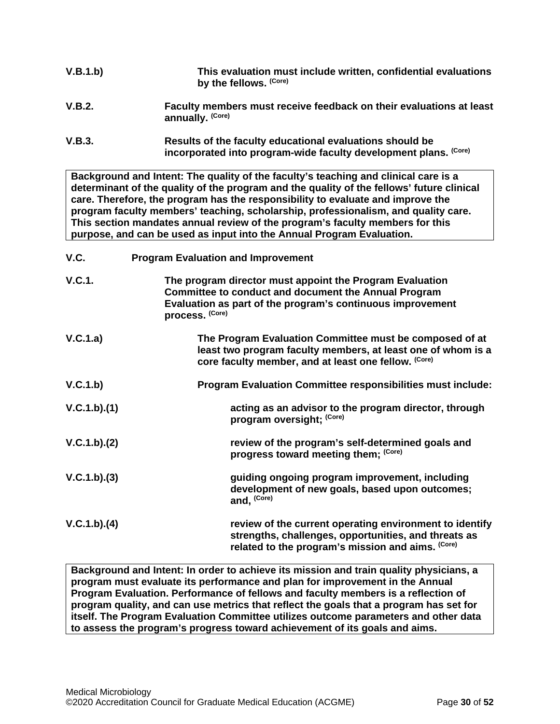| V.B.1.b) | This evaluation must include written, confidential evaluations<br>by the fellows. (Core)                                     |
|----------|------------------------------------------------------------------------------------------------------------------------------|
| V.B.2.   | Faculty members must receive feedback on their evaluations at least<br>annually. (Core)                                      |
| V.B.3.   | Results of the faculty educational evaluations should be<br>incorporated into program-wide faculty development plans. (Core) |

**Background and Intent: The quality of the faculty's teaching and clinical care is a determinant of the quality of the program and the quality of the fellows' future clinical care. Therefore, the program has the responsibility to evaluate and improve the program faculty members' teaching, scholarship, professionalism, and quality care. This section mandates annual review of the program's faculty members for this purpose, and can be used as input into the Annual Program Evaluation.**

<span id="page-29-0"></span>

| V.C.          | <b>Program Evaluation and Improvement</b>                                                                                                                                                                |
|---------------|----------------------------------------------------------------------------------------------------------------------------------------------------------------------------------------------------------|
| <b>V.C.1.</b> | The program director must appoint the Program Evaluation<br><b>Committee to conduct and document the Annual Program</b><br>Evaluation as part of the program's continuous improvement<br>process. (Core) |
| V.C.1.a)      | The Program Evaluation Committee must be composed of at<br>least two program faculty members, at least one of whom is a<br>core faculty member, and at least one fellow. (Core)                          |
| V.C.1.b)      | <b>Program Evaluation Committee responsibilities must include:</b>                                                                                                                                       |
| V.C.1.b)(1)   | acting as an advisor to the program director, through<br>program oversight; (Core)                                                                                                                       |
| V.C.1.b)(2)   | review of the program's self-determined goals and<br>progress toward meeting them; (Core)                                                                                                                |
| V.C.1.b)(3)   | guiding ongoing program improvement, including<br>development of new goals, based upon outcomes;<br>and, (Core)                                                                                          |
| V.C.1.b)(4)   | review of the current operating environment to identify<br>strengths, challenges, opportunities, and threats as<br>related to the program's mission and aims. (Core)                                     |

**Background and Intent: In order to achieve its mission and train quality physicians, a program must evaluate its performance and plan for improvement in the Annual Program Evaluation. Performance of fellows and faculty members is a reflection of program quality, and can use metrics that reflect the goals that a program has set for itself. The Program Evaluation Committee utilizes outcome parameters and other data to assess the program's progress toward achievement of its goals and aims.**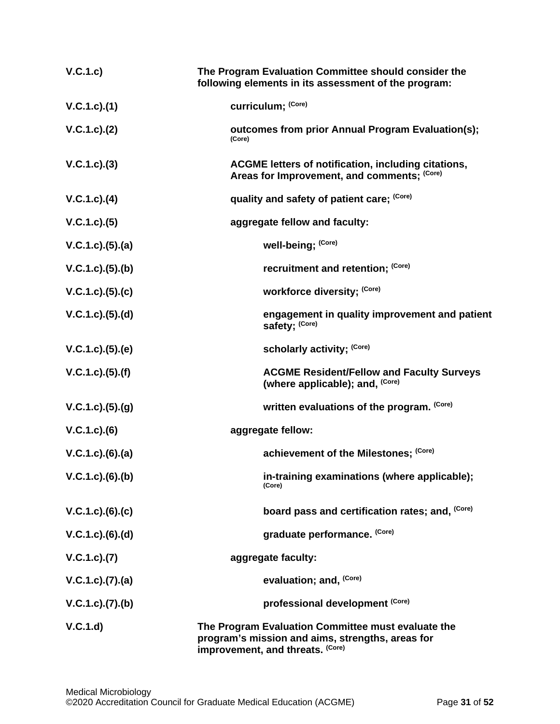| V.C.1.c)            | The Program Evaluation Committee should consider the<br>following elements in its assessment of the program:                               |
|---------------------|--------------------------------------------------------------------------------------------------------------------------------------------|
| V.C.1.c).(1)        | curriculum; (Core)                                                                                                                         |
| V.C.1.c). (2)       | outcomes from prior Annual Program Evaluation(s);<br>(Core)                                                                                |
| $V.C.1.c).$ (3)     | <b>ACGME letters of notification, including citations,</b><br>Areas for Improvement, and comments; (Core)                                  |
| $V.C.1.c).$ (4)     | quality and safety of patient care; (Core)                                                                                                 |
| V.C.1.c.3(5)        | aggregate fellow and faculty:                                                                                                              |
| V.C.1.c. (5). (a)   | well-being; (Core)                                                                                                                         |
| V.C.1.c. (5). (b)   | recruitment and retention; (Core)                                                                                                          |
| V.C.1.c. (5). (c)   | workforce diversity; (Core)                                                                                                                |
| V.C.1.c. (5). (d)   | engagement in quality improvement and patient<br>safety: (Core)                                                                            |
| V.C.1.c. (5). (e)   | scholarly activity; (Core)                                                                                                                 |
| V.C.1.c. (5). (f)   | <b>ACGME Resident/Fellow and Faculty Surveys</b><br>(where applicable); and, (Core)                                                        |
| V.C.1.c. (5). (g)   | written evaluations of the program. (Core)                                                                                                 |
| $V.C.1.c).$ (6)     | aggregate fellow:                                                                                                                          |
| $V.C.1.c).$ (6).(a) | achievement of the Milestones; (Core)                                                                                                      |
| $V.C.1.c.$ (6).(b)  | in-training examinations (where applicable);<br>(Core)                                                                                     |
| $V.C.1.c.$ (6).(c)  | board pass and certification rates; and, (Core)                                                                                            |
| $V.C.1.c.$ (6).(d)  | graduate performance. (Core)                                                                                                               |
| V.C.1.c.7(7)        | aggregate faculty:                                                                                                                         |
| V.C.1.c. (7). (a)   | evaluation; and, (Core)                                                                                                                    |
| V.C.1.c. (7). (b)   | professional development (Core)                                                                                                            |
| V.C.1.d)            | The Program Evaluation Committee must evaluate the<br>program's mission and aims, strengths, areas for<br>improvement, and threats. (Core) |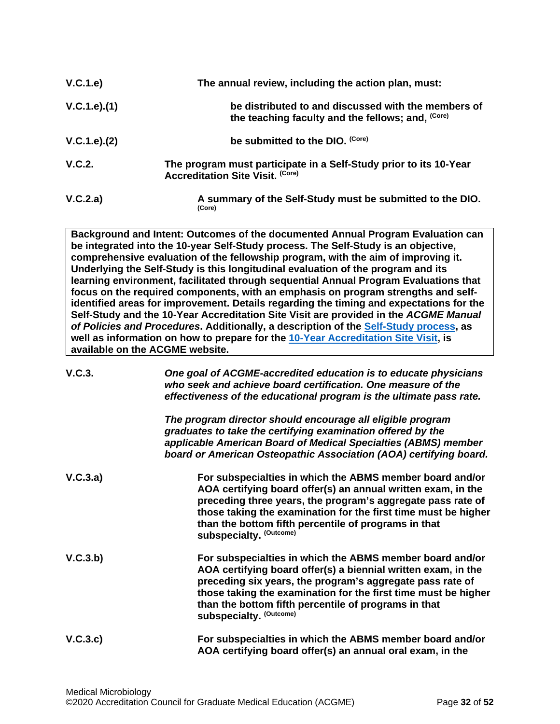| V.C.1.e)      | The annual review, including the action plan, must:                                                          |
|---------------|--------------------------------------------------------------------------------------------------------------|
| V.C.1.e).(1)  | be distributed to and discussed with the members of<br>the teaching faculty and the fellows; and, (Core)     |
| V.C.1.e). (2) | be submitted to the DIO. (Core)                                                                              |
| V.C.2.        | The program must participate in a Self-Study prior to its 10-Year<br><b>Accreditation Site Visit. (Core)</b> |
| V.C.2.a)      | A summary of the Self-Study must be submitted to the DIO.<br>(Core)                                          |

**Background and Intent: Outcomes of the documented Annual Program Evaluation can be integrated into the 10-year Self-Study process. The Self-Study is an objective, comprehensive evaluation of the fellowship program, with the aim of improving it. Underlying the Self-Study is this longitudinal evaluation of the program and its learning environment, facilitated through sequential Annual Program Evaluations that focus on the required components, with an emphasis on program strengths and selfidentified areas for improvement. Details regarding the timing and expectations for the Self-Study and the 10-Year Accreditation Site Visit are provided in the** *ACGME Manual of Policies and Procedures***. Additionally, a description of the [Self-Study process,](http://acgme.org/What-We-Do/Accreditation/Self-Study) as well as information on how to prepare for the [10-Year Accreditation Site Visit,](http://www.acgme.org/What-We-Do/Accreditation/Site-Visit/Eight-Steps-to-Prepare-for-the-10-Year-Accreditation-Site-Visit) is available on the ACGME website.**

| V.C.3.   | One goal of ACGME-accredited education is to educate physicians<br>who seek and achieve board certification. One measure of the<br>effectiveness of the educational program is the ultimate pass rate.                                                                                                                                       |
|----------|----------------------------------------------------------------------------------------------------------------------------------------------------------------------------------------------------------------------------------------------------------------------------------------------------------------------------------------------|
|          | The program director should encourage all eligible program<br>graduates to take the certifying examination offered by the<br>applicable American Board of Medical Specialties (ABMS) member<br>board or American Osteopathic Association (AOA) certifying board.                                                                             |
| V.C.3.a) | For subspecialties in which the ABMS member board and/or<br>AOA certifying board offer(s) an annual written exam, in the<br>preceding three years, the program's aggregate pass rate of<br>those taking the examination for the first time must be higher<br>than the bottom fifth percentile of programs in that<br>subspecialty. (Outcome) |
| V.C.3.b) | For subspecialties in which the ABMS member board and/or<br>AOA certifying board offer(s) a biennial written exam, in the<br>preceding six years, the program's aggregate pass rate of<br>those taking the examination for the first time must be higher<br>than the bottom fifth percentile of programs in that<br>subspecialty. (Outcome)  |
| V.C.3.c) | For subspecialties in which the ABMS member board and/or<br>AOA certifying board offer(s) an annual oral exam, in the                                                                                                                                                                                                                        |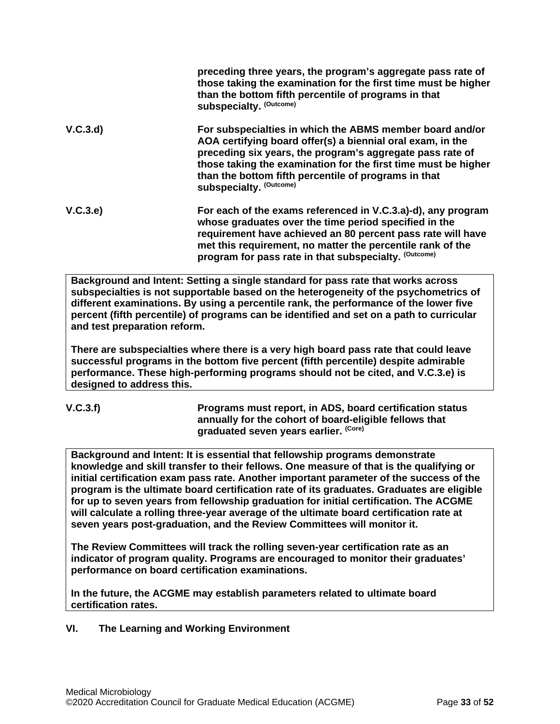|          | preceding three years, the program's aggregate pass rate of<br>those taking the examination for the first time must be higher<br>than the bottom fifth percentile of programs in that<br>subspecialty. (Outcome)                                                                                                                         |
|----------|------------------------------------------------------------------------------------------------------------------------------------------------------------------------------------------------------------------------------------------------------------------------------------------------------------------------------------------|
| V.C.3.d) | For subspecialties in which the ABMS member board and/or<br>AOA certifying board offer(s) a biennial oral exam, in the<br>preceding six years, the program's aggregate pass rate of<br>those taking the examination for the first time must be higher<br>than the bottom fifth percentile of programs in that<br>subspecialty. (Outcome) |
| V.C.3.e) | For each of the exams referenced in V.C.3.a)-d), any program<br>whose graduates over the time period specified in the<br>requirement have achieved an 80 percent pass rate will have<br>met this requirement, no matter the percentile rank of the<br>program for pass rate in that subspecialty. (Outcome)                              |

**Background and Intent: Setting a single standard for pass rate that works across subspecialties is not supportable based on the heterogeneity of the psychometrics of different examinations. By using a percentile rank, the performance of the lower five percent (fifth percentile) of programs can be identified and set on a path to curricular and test preparation reform.**

**There are subspecialties where there is a very high board pass rate that could leave successful programs in the bottom five percent (fifth percentile) despite admirable performance. These high-performing programs should not be cited, and V.C.3.e) is designed to address this.**

$$
V.C.3.f)
$$

**V.C.3.f) Programs must report, in ADS, board certification status annually for the cohort of board-eligible fellows that graduated seven years earlier. (Core)**

**Background and Intent: It is essential that fellowship programs demonstrate knowledge and skill transfer to their fellows. One measure of that is the qualifying or initial certification exam pass rate. Another important parameter of the success of the program is the ultimate board certification rate of its graduates. Graduates are eligible for up to seven years from fellowship graduation for initial certification. The ACGME will calculate a rolling three-year average of the ultimate board certification rate at seven years post-graduation, and the Review Committees will monitor it.**

**The Review Committees will track the rolling seven-year certification rate as an indicator of program quality. Programs are encouraged to monitor their graduates' performance on board certification examinations.**

**In the future, the ACGME may establish parameters related to ultimate board certification rates.**

<span id="page-32-0"></span>**VI. The Learning and Working Environment**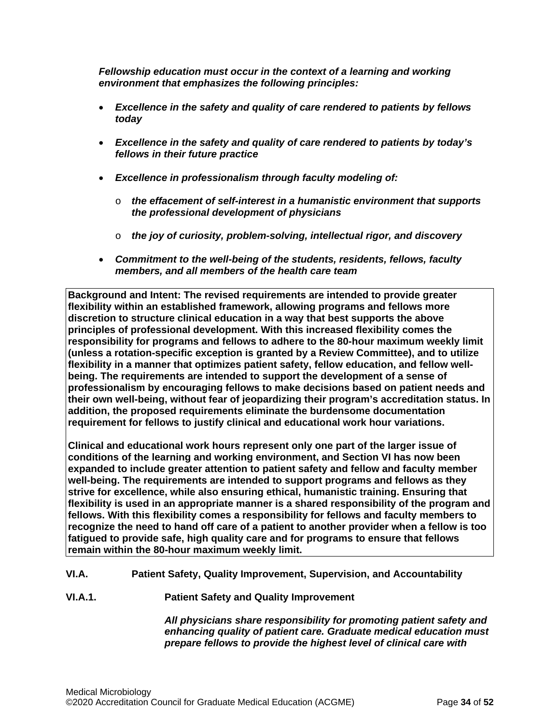*Fellowship education must occur in the context of a learning and working environment that emphasizes the following principles:*

- *Excellence in the safety and quality of care rendered to patients by fellows today*
- *Excellence in the safety and quality of care rendered to patients by today's fellows in their future practice*
- *Excellence in professionalism through faculty modeling of:*
	- o *the effacement of self-interest in a humanistic environment that supports the professional development of physicians*
	- o *the joy of curiosity, problem-solving, intellectual rigor, and discovery*
- *Commitment to the well-being of the students, residents, fellows, faculty members, and all members of the health care team*

**Background and Intent: The revised requirements are intended to provide greater flexibility within an established framework, allowing programs and fellows more discretion to structure clinical education in a way that best supports the above principles of professional development. With this increased flexibility comes the responsibility for programs and fellows to adhere to the 80-hour maximum weekly limit (unless a rotation-specific exception is granted by a Review Committee), and to utilize flexibility in a manner that optimizes patient safety, fellow education, and fellow wellbeing. The requirements are intended to support the development of a sense of professionalism by encouraging fellows to make decisions based on patient needs and their own well-being, without fear of jeopardizing their program's accreditation status. In addition, the proposed requirements eliminate the burdensome documentation requirement for fellows to justify clinical and educational work hour variations.**

**Clinical and educational work hours represent only one part of the larger issue of conditions of the learning and working environment, and Section VI has now been expanded to include greater attention to patient safety and fellow and faculty member well-being. The requirements are intended to support programs and fellows as they strive for excellence, while also ensuring ethical, humanistic training. Ensuring that flexibility is used in an appropriate manner is a shared responsibility of the program and fellows. With this flexibility comes a responsibility for fellows and faculty members to recognize the need to hand off care of a patient to another provider when a fellow is too fatigued to provide safe, high quality care and for programs to ensure that fellows remain within the 80-hour maximum weekly limit.**

- <span id="page-33-0"></span>**VI.A. Patient Safety, Quality Improvement, Supervision, and Accountability**
- **VI.A.1. Patient Safety and Quality Improvement**

*All physicians share responsibility for promoting patient safety and enhancing quality of patient care. Graduate medical education must prepare fellows to provide the highest level of clinical care with*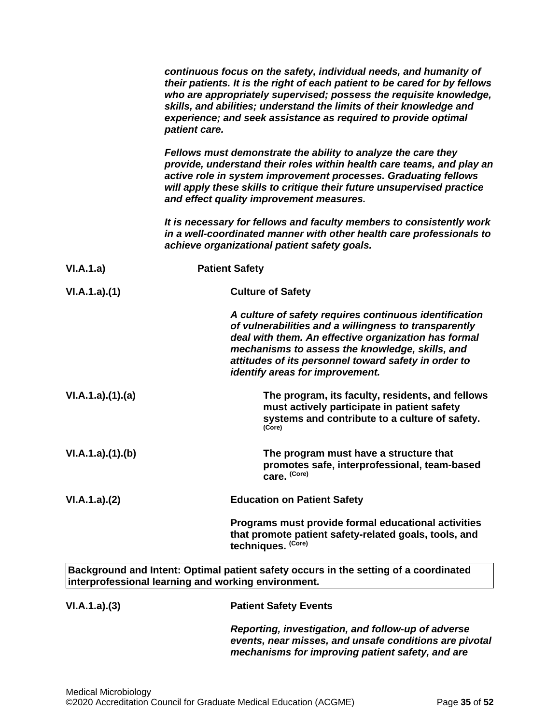|                 | continuous focus on the safety, individual needs, and humanity of<br>their patients. It is the right of each patient to be cared for by fellows<br>who are appropriately supervised; possess the requisite knowledge,<br>skills, and abilities; understand the limits of their knowledge and<br>experience; and seek assistance as required to provide optimal<br>patient care. |
|-----------------|---------------------------------------------------------------------------------------------------------------------------------------------------------------------------------------------------------------------------------------------------------------------------------------------------------------------------------------------------------------------------------|
|                 | Fellows must demonstrate the ability to analyze the care they<br>provide, understand their roles within health care teams, and play an<br>active role in system improvement processes. Graduating fellows<br>will apply these skills to critique their future unsupervised practice<br>and effect quality improvement measures.                                                 |
|                 | It is necessary for fellows and faculty members to consistently work<br>in a well-coordinated manner with other health care professionals to<br>achieve organizational patient safety goals.                                                                                                                                                                                    |
| VI.A.1.a)       | <b>Patient Safety</b>                                                                                                                                                                                                                                                                                                                                                           |
| VI.A.1.a)(1)    | <b>Culture of Safety</b>                                                                                                                                                                                                                                                                                                                                                        |
|                 | A culture of safety requires continuous identification<br>of vulnerabilities and a willingness to transparently<br>deal with them. An effective organization has formal<br>mechanisms to assess the knowledge, skills, and<br>attitudes of its personnel toward safety in order to<br>identify areas for improvement.                                                           |
| VI.A.1.a)(1)(a) | The program, its faculty, residents, and fellows<br>must actively participate in patient safety<br>systems and contribute to a culture of safety.<br>(Core)                                                                                                                                                                                                                     |
| VI.A.1.a)(1)(b) | The program must have a structure that<br>promotes safe, interprofessional, team-based<br>care. (Core)                                                                                                                                                                                                                                                                          |
| VI.A.1.a)(2)    | <b>Education on Patient Safety</b>                                                                                                                                                                                                                                                                                                                                              |
|                 | Programs must provide formal educational activities<br>that promote patient safety-related goals, tools, and<br>techniques. (Core)                                                                                                                                                                                                                                              |
|                 | Background and Intent: Optimal patient safety occurs in the setting of a coordinated<br>interprofessional learning and working environment.                                                                                                                                                                                                                                     |
| VI.A.1.a)(3)    | <b>Patient Safety Events</b>                                                                                                                                                                                                                                                                                                                                                    |
|                 | Reporting, investigation, and follow-up of adverse<br>events, near misses, and unsafe conditions are pivotal                                                                                                                                                                                                                                                                    |

*mechanisms for improving patient safety, and are*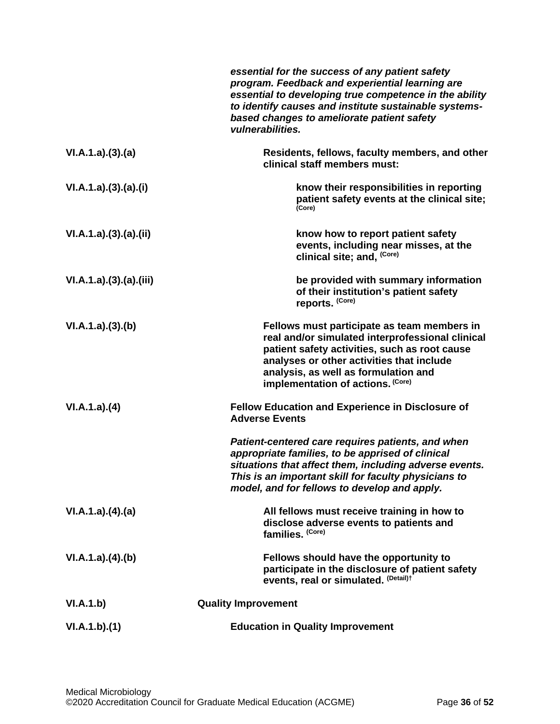|                      | essential for the success of any patient safety<br>program. Feedback and experiential learning are<br>essential to developing true competence in the ability<br>to identify causes and institute sustainable systems-<br>based changes to ameliorate patient safety<br>vulnerabilities.                                                                     |
|----------------------|-------------------------------------------------------------------------------------------------------------------------------------------------------------------------------------------------------------------------------------------------------------------------------------------------------------------------------------------------------------|
| VI.A.1.a)(3)(a)      | Residents, fellows, faculty members, and other<br>clinical staff members must:                                                                                                                                                                                                                                                                              |
| VI.A.1.a)(3).(a)(i)  | know their responsibilities in reporting<br>patient safety events at the clinical site;<br>(Core)                                                                                                                                                                                                                                                           |
| VI.A.1.a)(3).(a)(ii) | know how to report patient safety<br>events, including near misses, at the<br>clinical site; and, (Core)                                                                                                                                                                                                                                                    |
| VI.A.1.a)(3)(a)(iii) | be provided with summary information<br>of their institution's patient safety<br>reports. (Core)                                                                                                                                                                                                                                                            |
| VI.A.1.a)(3)(b)      | Fellows must participate as team members in<br>real and/or simulated interprofessional clinical<br>patient safety activities, such as root cause<br>analyses or other activities that include<br>analysis, as well as formulation and<br>implementation of actions. (Core)                                                                                  |
| VI.A.1.a)(4)         | <b>Fellow Education and Experience in Disclosure of</b><br><b>Adverse Events</b><br>Patient-centered care requires patients, and when<br>appropriate families, to be apprised of clinical<br>situations that affect them, including adverse events.<br>This is an important skill for faculty physicians to<br>model, and for fellows to develop and apply. |
| VI.A.1.a)(4)(a)      | All fellows must receive training in how to<br>disclose adverse events to patients and<br>families. (Core)                                                                                                                                                                                                                                                  |
| VI.A.1.a)(4)(b)      | Fellows should have the opportunity to<br>participate in the disclosure of patient safety<br>events, real or simulated. (Detail)t                                                                                                                                                                                                                           |
| VI.A.1.b)            | <b>Quality Improvement</b>                                                                                                                                                                                                                                                                                                                                  |
| VI.A.1.b)(1)         | <b>Education in Quality Improvement</b>                                                                                                                                                                                                                                                                                                                     |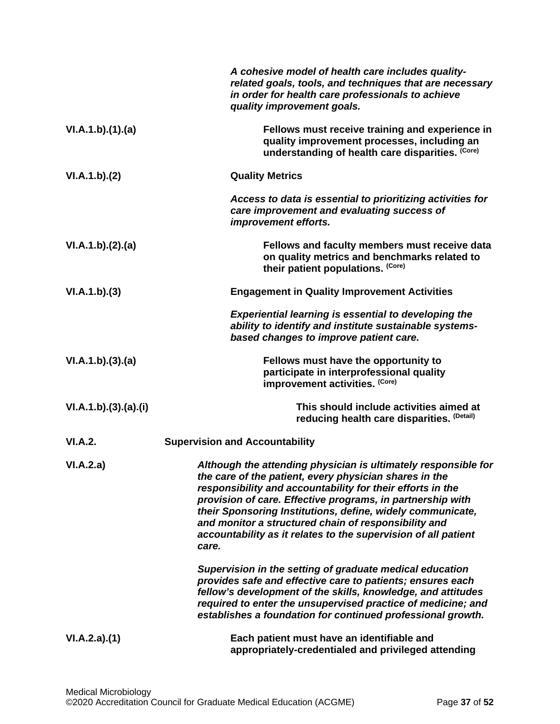|                    | A cohesive model of health care includes quality-<br>related goals, tools, and techniques that are necessary<br>in order for health care professionals to achieve<br>quality improvement goals.                                                                                                                                                                                                                                                       |
|--------------------|-------------------------------------------------------------------------------------------------------------------------------------------------------------------------------------------------------------------------------------------------------------------------------------------------------------------------------------------------------------------------------------------------------------------------------------------------------|
| VI.A.1.b)(1)(a)    | Fellows must receive training and experience in<br>quality improvement processes, including an<br>understanding of health care disparities. (Core)                                                                                                                                                                                                                                                                                                    |
| VI.A.1.b)(2)       | <b>Quality Metrics</b>                                                                                                                                                                                                                                                                                                                                                                                                                                |
|                    | Access to data is essential to prioritizing activities for<br>care improvement and evaluating success of<br>improvement efforts.                                                                                                                                                                                                                                                                                                                      |
| VI.A.1.b)(2).(a)   | Fellows and faculty members must receive data<br>on quality metrics and benchmarks related to<br>their patient populations. (Core)                                                                                                                                                                                                                                                                                                                    |
| VI.A.1.b)(3)       | <b>Engagement in Quality Improvement Activities</b>                                                                                                                                                                                                                                                                                                                                                                                                   |
|                    | <b>Experiential learning is essential to developing the</b><br>ability to identify and institute sustainable systems-<br>based changes to improve patient care.                                                                                                                                                                                                                                                                                       |
| VI.A.1.b)(3).(a)   | Fellows must have the opportunity to<br>participate in interprofessional quality<br>improvement activities. (Core)                                                                                                                                                                                                                                                                                                                                    |
| VI.A.1.b)(3)(a)(i) | This should include activities aimed at<br>reducing health care disparities. (Detail)                                                                                                                                                                                                                                                                                                                                                                 |
| <b>VI.A.2.</b>     | <b>Supervision and Accountability</b>                                                                                                                                                                                                                                                                                                                                                                                                                 |
| VI.A.2.a)          | Although the attending physician is ultimately responsible for<br>the care of the patient, every physician shares in the<br>responsibility and accountability for their efforts in the<br>provision of care. Effective programs, in partnership with<br>their Sponsoring Institutions, define, widely communicate,<br>and monitor a structured chain of responsibility and<br>accountability as it relates to the supervision of all patient<br>care. |
|                    | Supervision in the setting of graduate medical education<br>provides safe and effective care to patients; ensures each<br>fellow's development of the skills, knowledge, and attitudes<br>required to enter the unsupervised practice of medicine; and<br>establishes a foundation for continued professional growth.                                                                                                                                 |
| VI.A.2.a)(1)       | Each patient must have an identifiable and<br>appropriately-credentialed and privileged attending                                                                                                                                                                                                                                                                                                                                                     |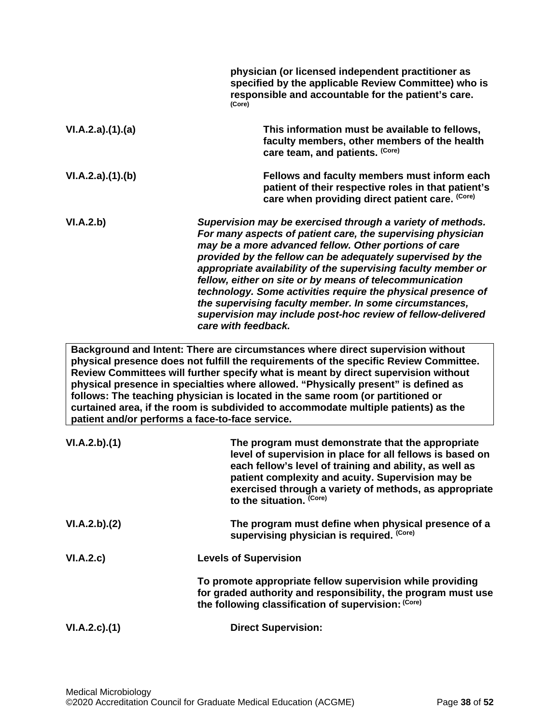|                                                 | physician (or licensed independent practitioner as<br>specified by the applicable Review Committee) who is<br>responsible and accountable for the patient's care.<br>(Core)                                                                                                                                                                                                                                                                                                                                                                                                                  |
|-------------------------------------------------|----------------------------------------------------------------------------------------------------------------------------------------------------------------------------------------------------------------------------------------------------------------------------------------------------------------------------------------------------------------------------------------------------------------------------------------------------------------------------------------------------------------------------------------------------------------------------------------------|
| VI.A.2.a)(1).(a)                                | This information must be available to fellows,<br>faculty members, other members of the health<br>care team, and patients. (Core)                                                                                                                                                                                                                                                                                                                                                                                                                                                            |
| VI.A.2.a)(1)(b)                                 | Fellows and faculty members must inform each<br>patient of their respective roles in that patient's<br>care when providing direct patient care. (Core)                                                                                                                                                                                                                                                                                                                                                                                                                                       |
| VI.A.2.b)                                       | Supervision may be exercised through a variety of methods.<br>For many aspects of patient care, the supervising physician<br>may be a more advanced fellow. Other portions of care<br>provided by the fellow can be adequately supervised by the<br>appropriate availability of the supervising faculty member or<br>fellow, either on site or by means of telecommunication<br>technology. Some activities require the physical presence of<br>the supervising faculty member. In some circumstances,<br>supervision may include post-hoc review of fellow-delivered<br>care with feedback. |
| patient and/or performs a face-to-face service. | Background and Intent: There are circumstances where direct supervision without<br>physical presence does not fulfill the requirements of the specific Review Committee.<br>Review Committees will further specify what is meant by direct supervision without<br>physical presence in specialties where allowed. "Physically present" is defined as<br>follows: The teaching physician is located in the same room (or partitioned or<br>curtained area, if the room is subdivided to accommodate multiple patients) as the                                                                 |
| VI.A.2.b)(1)                                    | The program must demonstrate that the appropriate<br>level of supervision in place for all fellows is based on<br>each fellow's level of training and ability, as well as<br>patient complexity and acuity. Supervision may be<br>exercised through a variety of methods, as appropriate<br>to the situation. (Core)                                                                                                                                                                                                                                                                         |
| VI.A.2.b)(2)                                    | The program must define when physical presence of a<br>supervising physician is required. (Core)                                                                                                                                                                                                                                                                                                                                                                                                                                                                                             |
| VI.A.2.c)                                       | <b>Levels of Supervision</b>                                                                                                                                                                                                                                                                                                                                                                                                                                                                                                                                                                 |
|                                                 | To promote appropriate fellow supervision while providing<br>for graded authority and responsibility, the program must use<br>the following classification of supervision: (Core)                                                                                                                                                                                                                                                                                                                                                                                                            |
| VI.A.2.c.(1)                                    | <b>Direct Supervision:</b>                                                                                                                                                                                                                                                                                                                                                                                                                                                                                                                                                                   |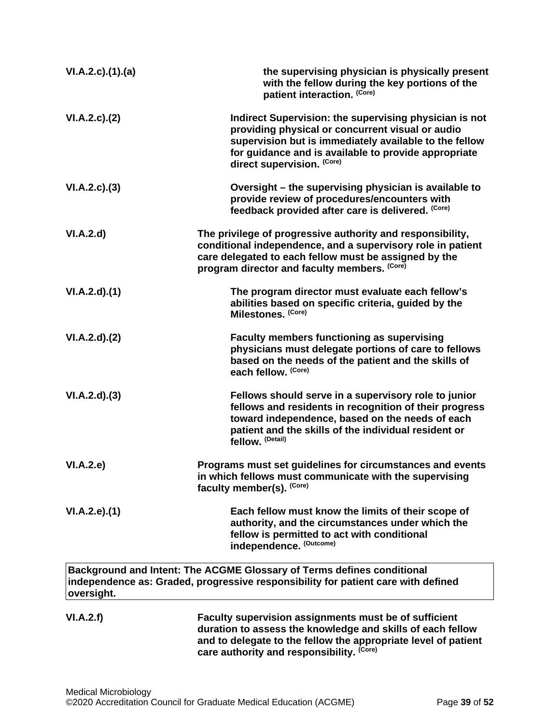| VI.A.2.c)(1)(a) | the supervising physician is physically present<br>with the fellow during the key portions of the<br>patient interaction. (Core)                                                                                                                           |
|-----------------|------------------------------------------------------------------------------------------------------------------------------------------------------------------------------------------------------------------------------------------------------------|
| VI.A.2.c.2()    | Indirect Supervision: the supervising physician is not<br>providing physical or concurrent visual or audio<br>supervision but is immediately available to the fellow<br>for guidance and is available to provide appropriate<br>direct supervision. (Core) |
| VI.A.2.c.(3)    | Oversight – the supervising physician is available to<br>provide review of procedures/encounters with<br>feedback provided after care is delivered. (Core)                                                                                                 |
| VI.A.2.d        | The privilege of progressive authority and responsibility,<br>conditional independence, and a supervisory role in patient<br>care delegated to each fellow must be assigned by the<br>program director and faculty members. (Core)                         |
| VI.A.2.d)(1)    | The program director must evaluate each fellow's<br>abilities based on specific criteria, guided by the<br>Milestones. (Core)                                                                                                                              |
| VI.A.2.d)(2)    | <b>Faculty members functioning as supervising</b><br>physicians must delegate portions of care to fellows<br>based on the needs of the patient and the skills of<br>each fellow. (Core)                                                                    |
| VI.A.2.d)(3)    | Fellows should serve in a supervisory role to junior<br>fellows and residents in recognition of their progress<br>toward independence, based on the needs of each<br>patient and the skills of the individual resident or<br>fellow. (Detail)              |
| VI.A.2.e)       | Programs must set guidelines for circumstances and events<br>in which fellows must communicate with the supervising<br>faculty member(s). (Core)                                                                                                           |
| VI.A.2.e. (1)   | Each fellow must know the limits of their scope of<br>authority, and the circumstances under which the<br>fellow is permitted to act with conditional<br>independence. (Outcome)                                                                           |
| oversight.      | Background and Intent: The ACGME Glossary of Terms defines conditional<br>independence as: Graded, progressive responsibility for patient care with defined                                                                                                |
| VI.A.2.f)       | Faculty supervision assignments must be of sufficient<br>duration to assess the knowledge and skills of each fellow<br>and to delegate to the fellow the appropriate level of patient<br>care authority and responsibility. (Core)                         |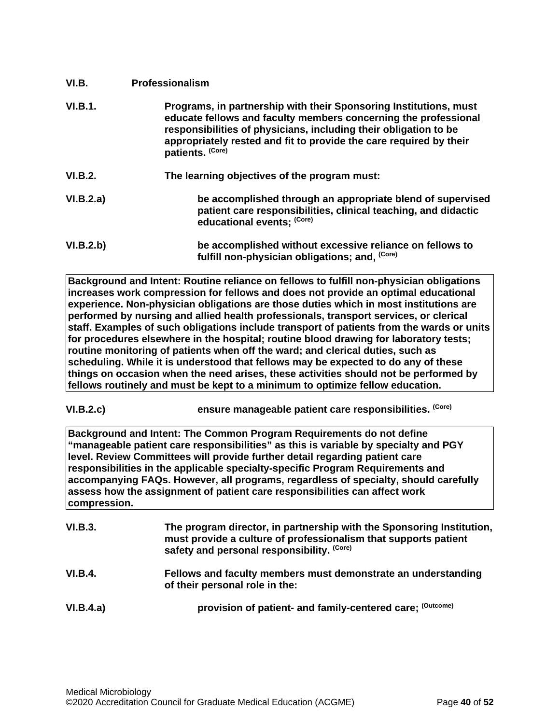<span id="page-39-0"></span>

| VI.B.     | <b>Professionalism</b>                                                                                                                                                                                                                                                                             |
|-----------|----------------------------------------------------------------------------------------------------------------------------------------------------------------------------------------------------------------------------------------------------------------------------------------------------|
| VI.B.1.   | Programs, in partnership with their Sponsoring Institutions, must<br>educate fellows and faculty members concerning the professional<br>responsibilities of physicians, including their obligation to be<br>appropriately rested and fit to provide the care required by their<br>patients. (Core) |
| VI.B.2.   | The learning objectives of the program must:                                                                                                                                                                                                                                                       |
| VI.B.2.a) | be accomplished through an appropriate blend of supervised<br>patient care responsibilities, clinical teaching, and didactic<br>educational events; (Core)                                                                                                                                         |
| VI.B.2.b) | be accomplished without excessive reliance on fellows to<br>fulfill non-physician obligations; and, (Core)                                                                                                                                                                                         |

**Background and Intent: Routine reliance on fellows to fulfill non-physician obligations increases work compression for fellows and does not provide an optimal educational experience. Non-physician obligations are those duties which in most institutions are performed by nursing and allied health professionals, transport services, or clerical staff. Examples of such obligations include transport of patients from the wards or units for procedures elsewhere in the hospital; routine blood drawing for laboratory tests; routine monitoring of patients when off the ward; and clerical duties, such as scheduling. While it is understood that fellows may be expected to do any of these things on occasion when the need arises, these activities should not be performed by fellows routinely and must be kept to a minimum to optimize fellow education.**

**VI.B.2.c) ensure manageable patient care responsibilities. (Core)**

**Background and Intent: The Common Program Requirements do not define "manageable patient care responsibilities" as this is variable by specialty and PGY level. Review Committees will provide further detail regarding patient care responsibilities in the applicable specialty-specific Program Requirements and accompanying FAQs. However, all programs, regardless of specialty, should carefully assess how the assignment of patient care responsibilities can affect work compression.**

| <b>VI.B.3.</b> | The program director, in partnership with the Sponsoring Institution,<br>must provide a culture of professionalism that supports patient<br>safety and personal responsibility. (Core) |
|----------------|----------------------------------------------------------------------------------------------------------------------------------------------------------------------------------------|
| VI.B.4.        | Fellows and faculty members must demonstrate an understanding<br>of their personal role in the:                                                                                        |
| VI.B.4.a)      | provision of patient- and family-centered care; (Outcome)                                                                                                                              |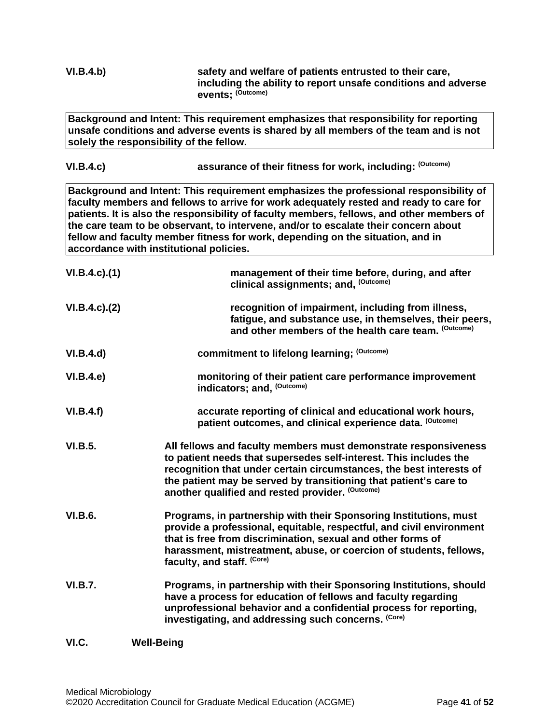<span id="page-40-0"></span>

| VI.B.4.b)           | safety and welfare of patients entrusted to their care,<br>including the ability to report unsafe conditions and adverse<br>events: (Outcome)                                                                                                                                                                                                                                                                                                                                                    |
|---------------------|--------------------------------------------------------------------------------------------------------------------------------------------------------------------------------------------------------------------------------------------------------------------------------------------------------------------------------------------------------------------------------------------------------------------------------------------------------------------------------------------------|
|                     | Background and Intent: This requirement emphasizes that responsibility for reporting<br>unsafe conditions and adverse events is shared by all members of the team and is not<br>solely the responsibility of the fellow.                                                                                                                                                                                                                                                                         |
| VI.B.4.c)           | assurance of their fitness for work, including: (Outcome)                                                                                                                                                                                                                                                                                                                                                                                                                                        |
|                     | Background and Intent: This requirement emphasizes the professional responsibility of<br>faculty members and fellows to arrive for work adequately rested and ready to care for<br>patients. It is also the responsibility of faculty members, fellows, and other members of<br>the care team to be observant, to intervene, and/or to escalate their concern about<br>fellow and faculty member fitness for work, depending on the situation, and in<br>accordance with institutional policies. |
| $VI.B.4.c$ ). $(1)$ | management of their time before, during, and after<br>clinical assignments; and, (Outcome)                                                                                                                                                                                                                                                                                                                                                                                                       |
| VI.B.4.c.)(2)       | recognition of impairment, including from illness,<br>fatigue, and substance use, in themselves, their peers,<br>and other members of the health care team. (Outcome)                                                                                                                                                                                                                                                                                                                            |
| VI.B.4.d)           | commitment to lifelong learning; (Outcome)                                                                                                                                                                                                                                                                                                                                                                                                                                                       |
| VI.B.4.e)           | monitoring of their patient care performance improvement<br>indicators; and, (Outcome)                                                                                                                                                                                                                                                                                                                                                                                                           |
| VI.B.4.f)           | accurate reporting of clinical and educational work hours,<br>patient outcomes, and clinical experience data. (Outcome)                                                                                                                                                                                                                                                                                                                                                                          |
| <b>VI.B.5.</b>      | All fellows and faculty members must demonstrate responsiveness<br>to patient needs that supersedes self-interest. This includes the<br>recognition that under certain circumstances, the best interests of<br>the patient may be served by transitioning that patient's care to<br>another qualified and rested provider. (Outcome)                                                                                                                                                             |
| <b>VI.B.6.</b>      | Programs, in partnership with their Sponsoring Institutions, must<br>provide a professional, equitable, respectful, and civil environment<br>that is free from discrimination, sexual and other forms of<br>harassment, mistreatment, abuse, or coercion of students, fellows,<br>faculty, and staff. (Core)                                                                                                                                                                                     |
| <b>VI.B.7.</b>      | Programs, in partnership with their Sponsoring Institutions, should<br>have a process for education of fellows and faculty regarding<br>unprofessional behavior and a confidential process for reporting,<br>investigating, and addressing such concerns. (Core)                                                                                                                                                                                                                                 |
| VI.C.               | <b>Well-Being</b>                                                                                                                                                                                                                                                                                                                                                                                                                                                                                |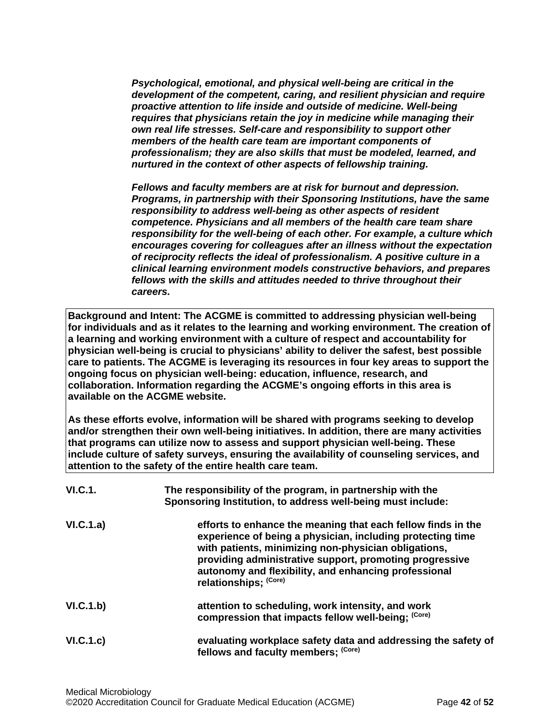*Psychological, emotional, and physical well-being are critical in the development of the competent, caring, and resilient physician and require proactive attention to life inside and outside of medicine. Well-being requires that physicians retain the joy in medicine while managing their own real life stresses. Self-care and responsibility to support other members of the health care team are important components of professionalism; they are also skills that must be modeled, learned, and nurtured in the context of other aspects of fellowship training.*

*Fellows and faculty members are at risk for burnout and depression. Programs, in partnership with their Sponsoring Institutions, have the same responsibility to address well-being as other aspects of resident competence. Physicians and all members of the health care team share responsibility for the well-being of each other. For example, a culture which encourages covering for colleagues after an illness without the expectation of reciprocity reflects the ideal of professionalism. A positive culture in a clinical learning environment models constructive behaviors, and prepares fellows with the skills and attitudes needed to thrive throughout their careers.*

**Background and Intent: The ACGME is committed to addressing physician well-being for individuals and as it relates to the learning and working environment. The creation of a learning and working environment with a culture of respect and accountability for physician well-being is crucial to physicians' ability to deliver the safest, best possible care to patients. The ACGME is leveraging its resources in four key areas to support the ongoing focus on physician well-being: education, influence, research, and collaboration. Information regarding the ACGME's ongoing efforts in this area is available on the ACGME website.**

**As these efforts evolve, information will be shared with programs seeking to develop and/or strengthen their own well-being initiatives. In addition, there are many activities that programs can utilize now to assess and support physician well-being. These include culture of safety surveys, ensuring the availability of counseling services, and attention to the safety of the entire health care team.**

| <b>VI.C.1.</b> | The responsibility of the program, in partnership with the<br>Sponsoring Institution, to address well-being must include:                                                                                                                                                                                                      |
|----------------|--------------------------------------------------------------------------------------------------------------------------------------------------------------------------------------------------------------------------------------------------------------------------------------------------------------------------------|
| VI.C.1.a)      | efforts to enhance the meaning that each fellow finds in the<br>experience of being a physician, including protecting time<br>with patients, minimizing non-physician obligations,<br>providing administrative support, promoting progressive<br>autonomy and flexibility, and enhancing professional<br>relationships; (Core) |
| VI.C.1.b)      | attention to scheduling, work intensity, and work<br>compression that impacts fellow well-being; (Core)                                                                                                                                                                                                                        |
| VI.C.1.c)      | evaluating workplace safety data and addressing the safety of<br>fellows and faculty members; (Core)                                                                                                                                                                                                                           |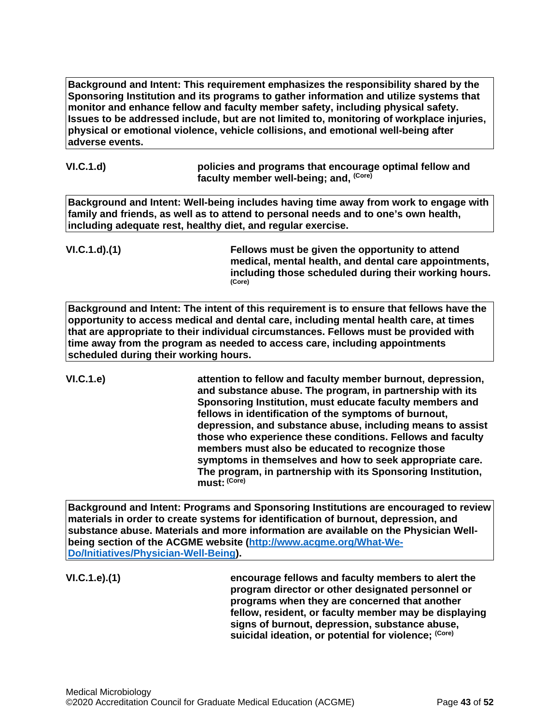**Background and Intent: This requirement emphasizes the responsibility shared by the Sponsoring Institution and its programs to gather information and utilize systems that monitor and enhance fellow and faculty member safety, including physical safety. Issues to be addressed include, but are not limited to, monitoring of workplace injuries, physical or emotional violence, vehicle collisions, and emotional well-being after adverse events.**

| VI.C.1.d) | policies and programs that encourage optimal fellow and |
|-----------|---------------------------------------------------------|
|           | faculty member well-being; and, <sup>(Core)</sup>       |

**Background and Intent: Well-being includes having time away from work to engage with family and friends, as well as to attend to personal needs and to one's own health, including adequate rest, healthy diet, and regular exercise.**

**VI.C.1.d).(1) Fellows must be given the opportunity to attend medical, mental health, and dental care appointments, including those scheduled during their working hours. (Core)**

**Background and Intent: The intent of this requirement is to ensure that fellows have the opportunity to access medical and dental care, including mental health care, at times that are appropriate to their individual circumstances. Fellows must be provided with time away from the program as needed to access care, including appointments scheduled during their working hours.**

**VI.C.1.e) attention to fellow and faculty member burnout, depression, and substance abuse. The program, in partnership with its Sponsoring Institution, must educate faculty members and fellows in identification of the symptoms of burnout, depression, and substance abuse, including means to assist those who experience these conditions. Fellows and faculty members must also be educated to recognize those symptoms in themselves and how to seek appropriate care. The program, in partnership with its Sponsoring Institution, must: (Core)**

**Background and Intent: Programs and Sponsoring Institutions are encouraged to review materials in order to create systems for identification of burnout, depression, and substance abuse. Materials and more information are available on the Physician Wellbeing section of the ACGME website [\(http://www.acgme.org/What-We-](http://www.acgme.org/What-We-Do/Initiatives/Physician-Well-Being)[Do/Initiatives/Physician-Well-Being\)](http://www.acgme.org/What-We-Do/Initiatives/Physician-Well-Being).**

**VI.C.1.e).(1) encourage fellows and faculty members to alert the program director or other designated personnel or programs when they are concerned that another fellow, resident, or faculty member may be displaying signs of burnout, depression, substance abuse, suicidal ideation, or potential for violence; (Core)**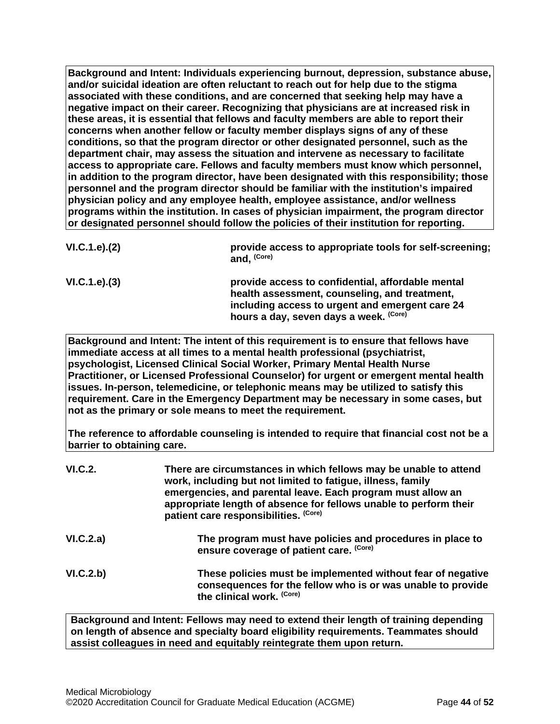**Background and Intent: Individuals experiencing burnout, depression, substance abuse, and/or suicidal ideation are often reluctant to reach out for help due to the stigma associated with these conditions, and are concerned that seeking help may have a negative impact on their career. Recognizing that physicians are at increased risk in these areas, it is essential that fellows and faculty members are able to report their concerns when another fellow or faculty member displays signs of any of these conditions, so that the program director or other designated personnel, such as the department chair, may assess the situation and intervene as necessary to facilitate access to appropriate care. Fellows and faculty members must know which personnel, in addition to the program director, have been designated with this responsibility; those personnel and the program director should be familiar with the institution's impaired physician policy and any employee health, employee assistance, and/or wellness programs within the institution. In cases of physician impairment, the program director or designated personnel should follow the policies of their institution for reporting.**

| VI.C.1.e). (2) | provide access to appropriate tools for self-screening;<br>and, (Core)                             |
|----------------|----------------------------------------------------------------------------------------------------|
| VI.C.1.e). (3) | provide access to confidential, affordable mental<br>health assessment, counseling, and treatment, |
|                | including access to urgent and emergent care 24<br>hours a day, seven days a week. (Core)          |

**Background and Intent: The intent of this requirement is to ensure that fellows have immediate access at all times to a mental health professional (psychiatrist, psychologist, Licensed Clinical Social Worker, Primary Mental Health Nurse Practitioner, or Licensed Professional Counselor) for urgent or emergent mental health issues. In-person, telemedicine, or telephonic means may be utilized to satisfy this requirement. Care in the Emergency Department may be necessary in some cases, but not as the primary or sole means to meet the requirement.**

**The reference to affordable counseling is intended to require that financial cost not be a barrier to obtaining care.**

| VI.C.2.   | There are circumstances in which fellows may be unable to attend<br>work, including but not limited to fatigue, illness, family<br>emergencies, and parental leave. Each program must allow an<br>appropriate length of absence for fellows unable to perform their<br>patient care responsibilities. (Core) |
|-----------|--------------------------------------------------------------------------------------------------------------------------------------------------------------------------------------------------------------------------------------------------------------------------------------------------------------|
| VI.C.2.a) | The program must have policies and procedures in place to<br>ensure coverage of patient care. (Core)                                                                                                                                                                                                         |
| VI.C.2.b) | These policies must be implemented without fear of negative<br>consequences for the fellow who is or was unable to provide<br>the clinical work. (Core)                                                                                                                                                      |

**Background and Intent: Fellows may need to extend their length of training depending on length of absence and specialty board eligibility requirements. Teammates should assist colleagues in need and equitably reintegrate them upon return.**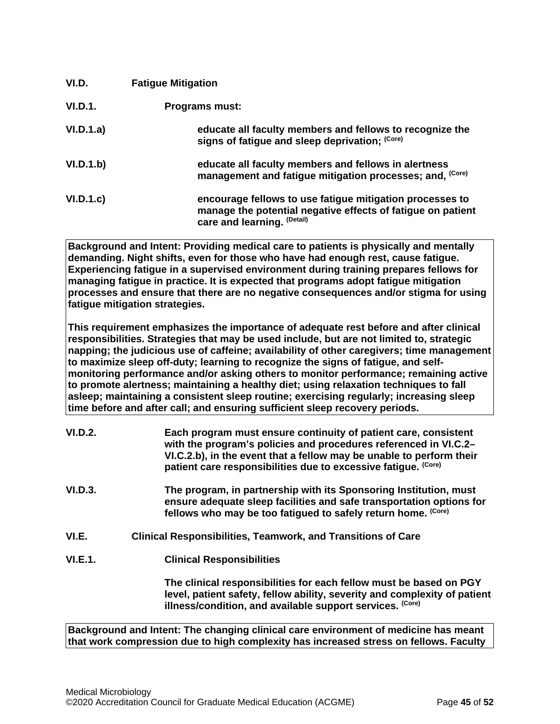<span id="page-44-0"></span>

| VI.D.     | <b>Fatigue Mitigation</b>                                                                                                                              |
|-----------|--------------------------------------------------------------------------------------------------------------------------------------------------------|
| VI.D.1.   | <b>Programs must:</b>                                                                                                                                  |
| VI.D.1.a) | educate all faculty members and fellows to recognize the<br>signs of fatigue and sleep deprivation; (Core)                                             |
| VI.D.1.b) | educate all faculty members and fellows in alertness<br>management and fatigue mitigation processes; and, (Core)                                       |
| VI.D.1.c  | encourage fellows to use fatigue mitigation processes to<br>manage the potential negative effects of fatigue on patient<br>care and learning. (Detail) |

**Background and Intent: Providing medical care to patients is physically and mentally demanding. Night shifts, even for those who have had enough rest, cause fatigue. Experiencing fatigue in a supervised environment during training prepares fellows for managing fatigue in practice. It is expected that programs adopt fatigue mitigation processes and ensure that there are no negative consequences and/or stigma for using fatigue mitigation strategies.**

**This requirement emphasizes the importance of adequate rest before and after clinical responsibilities. Strategies that may be used include, but are not limited to, strategic napping; the judicious use of caffeine; availability of other caregivers; time management to maximize sleep off-duty; learning to recognize the signs of fatigue, and selfmonitoring performance and/or asking others to monitor performance; remaining active to promote alertness; maintaining a healthy diet; using relaxation techniques to fall asleep; maintaining a consistent sleep routine; exercising regularly; increasing sleep time before and after call; and ensuring sufficient sleep recovery periods.**

| <b>VI.D.2.</b> | Each program must ensure continuity of patient care, consistent<br>with the program's policies and procedures referenced in VI.C.2-<br>VI.C.2.b), in the event that a fellow may be unable to perform their<br>patient care responsibilities due to excessive fatique. (Core) |
|----------------|-------------------------------------------------------------------------------------------------------------------------------------------------------------------------------------------------------------------------------------------------------------------------------|
| VI.D.3.        | The program, in partnership with its Sponsoring Institution, must<br>ensure adequate sleep facilities and safe transportation options for<br>fellows who may be too fatigued to safely return home. (Core)                                                                    |
| VI.E.          | <b>Clinical Responsibilities, Teamwork, and Transitions of Care</b>                                                                                                                                                                                                           |
| <b>VI.E.1.</b> | <b>Clinical Responsibilities</b>                                                                                                                                                                                                                                              |
|                | The clinical responsibilities for each fellow must be based on PGY<br>level, patient safety, fellow ability, severity and complexity of patient<br>illness/condition, and available support services. (Core)                                                                  |

<span id="page-44-1"></span>**Background and Intent: The changing clinical care environment of medicine has meant that work compression due to high complexity has increased stress on fellows. Faculty**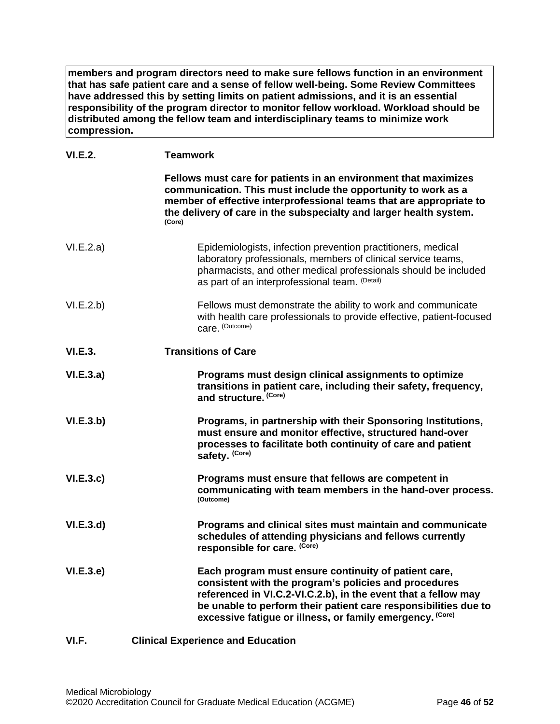**members and program directors need to make sure fellows function in an environment that has safe patient care and a sense of fellow well-being. Some Review Committees have addressed this by setting limits on patient admissions, and it is an essential responsibility of the program director to monitor fellow workload. Workload should be distributed among the fellow team and interdisciplinary teams to minimize work compression.**

# **VI.E.2. Teamwork**

<span id="page-45-0"></span>

|                | Fellows must care for patients in an environment that maximizes<br>communication. This must include the opportunity to work as a<br>member of effective interprofessional teams that are appropriate to<br>the delivery of care in the subspecialty and larger health system.<br>(Core)                         |
|----------------|-----------------------------------------------------------------------------------------------------------------------------------------------------------------------------------------------------------------------------------------------------------------------------------------------------------------|
| VI.E.2.a)      | Epidemiologists, infection prevention practitioners, medical<br>laboratory professionals, members of clinical service teams,<br>pharmacists, and other medical professionals should be included<br>as part of an interprofessional team. (Detail)                                                               |
| VI.E.2.b)      | Fellows must demonstrate the ability to work and communicate<br>with health care professionals to provide effective, patient-focused<br>care. (Outcome)                                                                                                                                                         |
| <b>VI.E.3.</b> | <b>Transitions of Care</b>                                                                                                                                                                                                                                                                                      |
| VI.E.3.a)      | Programs must design clinical assignments to optimize<br>transitions in patient care, including their safety, frequency,<br>and structure. (Core)                                                                                                                                                               |
| VI.E.3.b)      | Programs, in partnership with their Sponsoring Institutions,<br>must ensure and monitor effective, structured hand-over<br>processes to facilitate both continuity of care and patient<br>safety. (Core)                                                                                                        |
| VI.E.3.c       | Programs must ensure that fellows are competent in<br>communicating with team members in the hand-over process.<br>(Outcome)                                                                                                                                                                                    |
| VI.E.3.d       | Programs and clinical sites must maintain and communicate<br>schedules of attending physicians and fellows currently<br>responsible for care. (Core)                                                                                                                                                            |
| VI.E.3.e       | Each program must ensure continuity of patient care,<br>consistent with the program's policies and procedures<br>referenced in VI.C.2-VI.C.2.b), in the event that a fellow may<br>be unable to perform their patient care responsibilities due to<br>excessive fatigue or illness, or family emergency. (Core) |
| VI.F.          | <b>Clinical Experience and Education</b>                                                                                                                                                                                                                                                                        |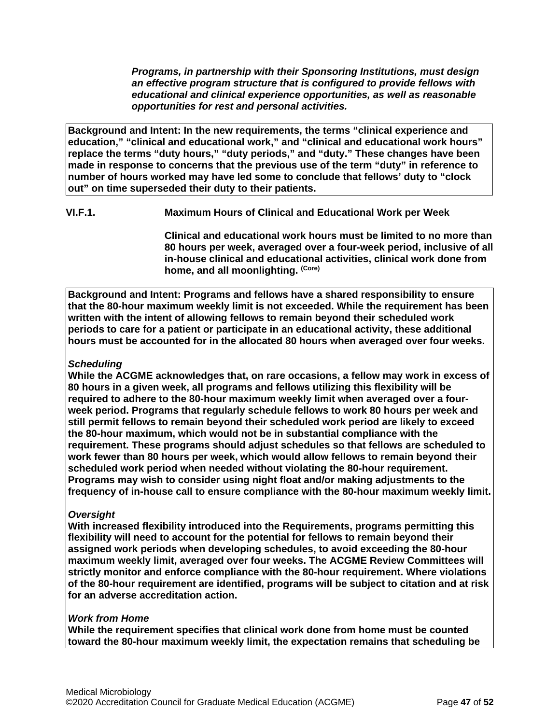*Programs, in partnership with their Sponsoring Institutions, must design an effective program structure that is configured to provide fellows with educational and clinical experience opportunities, as well as reasonable opportunities for rest and personal activities.*

**Background and Intent: In the new requirements, the terms "clinical experience and education," "clinical and educational work," and "clinical and educational work hours" replace the terms "duty hours," "duty periods," and "duty." These changes have been made in response to concerns that the previous use of the term "duty" in reference to number of hours worked may have led some to conclude that fellows' duty to "clock out" on time superseded their duty to their patients.**

**VI.F.1. Maximum Hours of Clinical and Educational Work per Week**

**Clinical and educational work hours must be limited to no more than 80 hours per week, averaged over a four-week period, inclusive of all in-house clinical and educational activities, clinical work done from home, and all moonlighting. (Core)**

**Background and Intent: Programs and fellows have a shared responsibility to ensure that the 80-hour maximum weekly limit is not exceeded. While the requirement has been written with the intent of allowing fellows to remain beyond their scheduled work periods to care for a patient or participate in an educational activity, these additional hours must be accounted for in the allocated 80 hours when averaged over four weeks.**

# *Scheduling*

**While the ACGME acknowledges that, on rare occasions, a fellow may work in excess of 80 hours in a given week, all programs and fellows utilizing this flexibility will be required to adhere to the 80-hour maximum weekly limit when averaged over a fourweek period. Programs that regularly schedule fellows to work 80 hours per week and still permit fellows to remain beyond their scheduled work period are likely to exceed the 80-hour maximum, which would not be in substantial compliance with the requirement. These programs should adjust schedules so that fellows are scheduled to work fewer than 80 hours per week, which would allow fellows to remain beyond their scheduled work period when needed without violating the 80-hour requirement. Programs may wish to consider using night float and/or making adjustments to the frequency of in-house call to ensure compliance with the 80-hour maximum weekly limit.**

# *Oversight*

**With increased flexibility introduced into the Requirements, programs permitting this flexibility will need to account for the potential for fellows to remain beyond their assigned work periods when developing schedules, to avoid exceeding the 80-hour maximum weekly limit, averaged over four weeks. The ACGME Review Committees will strictly monitor and enforce compliance with the 80-hour requirement. Where violations of the 80-hour requirement are identified, programs will be subject to citation and at risk for an adverse accreditation action.**

# *Work from Home*

**While the requirement specifies that clinical work done from home must be counted toward the 80-hour maximum weekly limit, the expectation remains that scheduling be**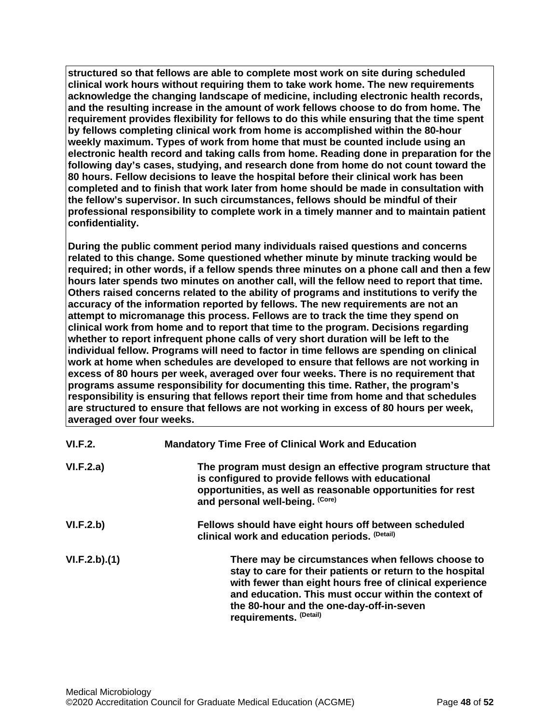**structured so that fellows are able to complete most work on site during scheduled clinical work hours without requiring them to take work home. The new requirements acknowledge the changing landscape of medicine, including electronic health records, and the resulting increase in the amount of work fellows choose to do from home. The requirement provides flexibility for fellows to do this while ensuring that the time spent by fellows completing clinical work from home is accomplished within the 80-hour weekly maximum. Types of work from home that must be counted include using an electronic health record and taking calls from home. Reading done in preparation for the following day's cases, studying, and research done from home do not count toward the 80 hours. Fellow decisions to leave the hospital before their clinical work has been completed and to finish that work later from home should be made in consultation with the fellow's supervisor. In such circumstances, fellows should be mindful of their professional responsibility to complete work in a timely manner and to maintain patient confidentiality.**

**During the public comment period many individuals raised questions and concerns related to this change. Some questioned whether minute by minute tracking would be required; in other words, if a fellow spends three minutes on a phone call and then a few hours later spends two minutes on another call, will the fellow need to report that time. Others raised concerns related to the ability of programs and institutions to verify the accuracy of the information reported by fellows. The new requirements are not an attempt to micromanage this process. Fellows are to track the time they spend on clinical work from home and to report that time to the program. Decisions regarding whether to report infrequent phone calls of very short duration will be left to the individual fellow. Programs will need to factor in time fellows are spending on clinical work at home when schedules are developed to ensure that fellows are not working in excess of 80 hours per week, averaged over four weeks. There is no requirement that programs assume responsibility for documenting this time. Rather, the program's responsibility is ensuring that fellows report their time from home and that schedules are structured to ensure that fellows are not working in excess of 80 hours per week, averaged over four weeks.**

| VI.F.2.      | <b>Mandatory Time Free of Clinical Work and Education</b>                                                                                                                                                                                                                                               |
|--------------|---------------------------------------------------------------------------------------------------------------------------------------------------------------------------------------------------------------------------------------------------------------------------------------------------------|
| VI.F.2.a)    | The program must design an effective program structure that<br>is configured to provide fellows with educational<br>opportunities, as well as reasonable opportunities for rest<br>and personal well-being. (Core)                                                                                      |
| VI.F.2.b)    | Fellows should have eight hours off between scheduled<br>clinical work and education periods. (Detail)                                                                                                                                                                                                  |
| VI.F.2.b)(1) | There may be circumstances when fellows choose to<br>stay to care for their patients or return to the hospital<br>with fewer than eight hours free of clinical experience<br>and education. This must occur within the context of<br>the 80-hour and the one-day-off-in-seven<br>requirements. (Detail) |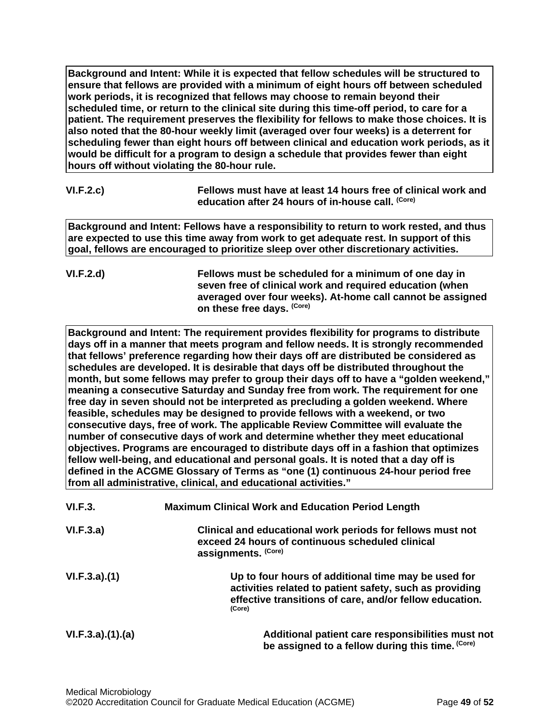**Background and Intent: While it is expected that fellow schedules will be structured to ensure that fellows are provided with a minimum of eight hours off between scheduled work periods, it is recognized that fellows may choose to remain beyond their scheduled time, or return to the clinical site during this time-off period, to care for a patient. The requirement preserves the flexibility for fellows to make those choices. It is also noted that the 80-hour weekly limit (averaged over four weeks) is a deterrent for scheduling fewer than eight hours off between clinical and education work periods, as it would be difficult for a program to design a schedule that provides fewer than eight hours off without violating the 80-hour rule.**

| VI.F.2.c) | Fellows must have at least 14 hours free of clinical work and |
|-----------|---------------------------------------------------------------|
|           | education after 24 hours of in-house call. <sup>(Core)</sup>  |

**Background and Intent: Fellows have a responsibility to return to work rested, and thus are expected to use this time away from work to get adequate rest. In support of this goal, fellows are encouraged to prioritize sleep over other discretionary activities.**

**VI.F.2.d) Fellows must be scheduled for a minimum of one day in seven free of clinical work and required education (when averaged over four weeks). At-home call cannot be assigned on these free days. (Core)**

**Background and Intent: The requirement provides flexibility for programs to distribute days off in a manner that meets program and fellow needs. It is strongly recommended that fellows' preference regarding how their days off are distributed be considered as schedules are developed. It is desirable that days off be distributed throughout the month, but some fellows may prefer to group their days off to have a "golden weekend," meaning a consecutive Saturday and Sunday free from work. The requirement for one free day in seven should not be interpreted as precluding a golden weekend. Where feasible, schedules may be designed to provide fellows with a weekend, or two consecutive days, free of work. The applicable Review Committee will evaluate the number of consecutive days of work and determine whether they meet educational objectives. Programs are encouraged to distribute days off in a fashion that optimizes fellow well-being, and educational and personal goals. It is noted that a day off is defined in the ACGME Glossary of Terms as "one (1) continuous 24-hour period free from all administrative, clinical, and educational activities."**

| VI.F.3.         | <b>Maximum Clinical Work and Education Period Length</b>                                                                                                                            |
|-----------------|-------------------------------------------------------------------------------------------------------------------------------------------------------------------------------------|
| VI.F.3.a)       | Clinical and educational work periods for fellows must not<br>exceed 24 hours of continuous scheduled clinical<br>assignments. (Core)                                               |
| VI.F.3.a)(1)    | Up to four hours of additional time may be used for<br>activities related to patient safety, such as providing<br>effective transitions of care, and/or fellow education.<br>(Core) |
| VI.F.3.a)(1)(a) | Additional patient care responsibilities must not<br>be assigned to a fellow during this time. (Core)                                                                               |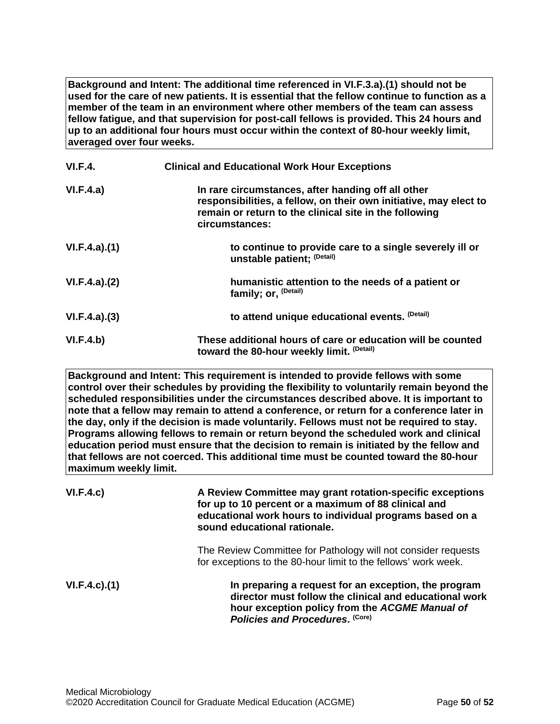**Background and Intent: The additional time referenced in VI.F.3.a).(1) should not be used for the care of new patients. It is essential that the fellow continue to function as a member of the team in an environment where other members of the team can assess fellow fatigue, and that supervision for post-call fellows is provided. This 24 hours and up to an additional four hours must occur within the context of 80-hour weekly limit, averaged over four weeks.**

| <b>VI.F.4.</b> | <b>Clinical and Educational Work Hour Exceptions</b>                                                                                                                                                |
|----------------|-----------------------------------------------------------------------------------------------------------------------------------------------------------------------------------------------------|
| VI.F.4.a)      | In rare circumstances, after handing off all other<br>responsibilities, a fellow, on their own initiative, may elect to<br>remain or return to the clinical site in the following<br>circumstances: |
| VI.F.4.a)(1)   | to continue to provide care to a single severely ill or<br>unstable patient; (Detail)                                                                                                               |
| VI.F.4.a)(2)   | humanistic attention to the needs of a patient or<br>family; or, <sup>(Detail)</sup>                                                                                                                |
| VI.F.4.a)(3)   | to attend unique educational events. (Detail)                                                                                                                                                       |
| VI.F.4.b)      | These additional hours of care or education will be counted<br>toward the 80-hour weekly limit. (Detail)                                                                                            |

**Background and Intent: This requirement is intended to provide fellows with some control over their schedules by providing the flexibility to voluntarily remain beyond the scheduled responsibilities under the circumstances described above. It is important to note that a fellow may remain to attend a conference, or return for a conference later in the day, only if the decision is made voluntarily. Fellows must not be required to stay. Programs allowing fellows to remain or return beyond the scheduled work and clinical education period must ensure that the decision to remain is initiated by the fellow and that fellows are not coerced. This additional time must be counted toward the 80-hour maximum weekly limit.**

| VI.F.4.c)          | A Review Committee may grant rotation-specific exceptions<br>for up to 10 percent or a maximum of 88 clinical and<br>educational work hours to individual programs based on a<br>sound educational rationale. |
|--------------------|---------------------------------------------------------------------------------------------------------------------------------------------------------------------------------------------------------------|
|                    | The Review Committee for Pathology will not consider requests<br>for exceptions to the 80-hour limit to the fellows' work week.                                                                               |
| $VI.F.4.c$ . $(1)$ | In preparing a request for an exception, the program<br>director must follow the clinical and educational work<br>hour exception policy from the ACGME Manual of<br>Policies and Procedures. (Core)           |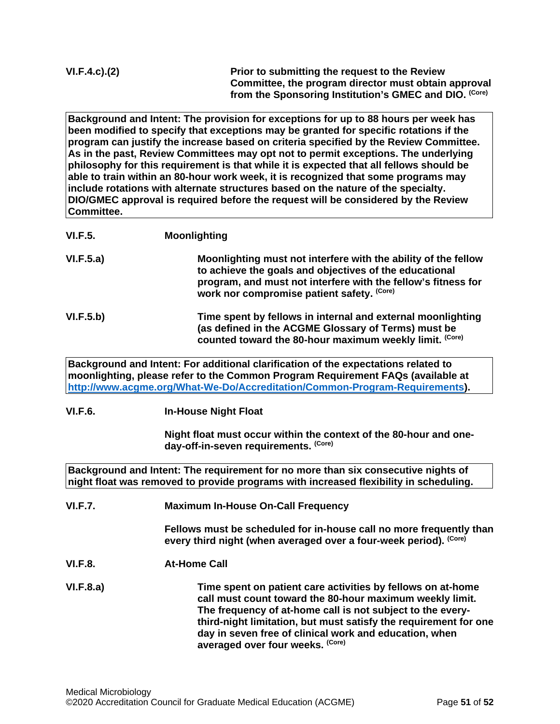| VI.F.4.c).(2) |
|---------------|
|---------------|

**Prior to submitting the request to the Review Committee, the program director must obtain approval from the Sponsoring Institution's GMEC and DIO. (Core)**

**Background and Intent: The provision for exceptions for up to 88 hours per week has been modified to specify that exceptions may be granted for specific rotations if the program can justify the increase based on criteria specified by the Review Committee. As in the past, Review Committees may opt not to permit exceptions. The underlying philosophy for this requirement is that while it is expected that all fellows should be able to train within an 80-hour work week, it is recognized that some programs may include rotations with alternate structures based on the nature of the specialty. DIO/GMEC approval is required before the request will be considered by the Review Committee.**

| <b>VI.F.5.</b> | <b>Moonlighting</b>                                                                                                                                                                                                                                  |
|----------------|------------------------------------------------------------------------------------------------------------------------------------------------------------------------------------------------------------------------------------------------------|
| VI.F.5.a)      | Moonlighting must not interfere with the ability of the fellow<br>to achieve the goals and objectives of the educational<br>program, and must not interfere with the fellow's fitness for<br>work nor compromise patient safety. (Core)              |
| VI.F.5.b)      | Time spent by fellows in internal and external moonlighting<br>(as defined in the ACGME Glossary of Terms) must be<br>counted toward the 80-hour maximum weekly limit. (Core)                                                                        |
|                | Background and Intent: For additional clarification of the expectations related to<br>moonlighting, please refer to the Common Program Requirement FAQs (available at<br>http://www.acgme.org/What-We-Do/Accreditation/Common-Program-Requirements). |

# **VI.F.6. In-House Night Float**

**Night float must occur within the context of the 80-hour and oneday-off-in-seven requirements. (Core)**

**Background and Intent: The requirement for no more than six consecutive nights of night float was removed to provide programs with increased flexibility in scheduling.**

**VI.F.7. Maximum In-House On-Call Frequency**

**Fellows must be scheduled for in-house call no more frequently than every third night (when averaged over a four-week period). (Core)**

**VI.F.8. At-Home Call**

**VI.F.8.a) Time spent on patient care activities by fellows on at-home call must count toward the 80-hour maximum weekly limit. The frequency of at-home call is not subject to the everythird-night limitation, but must satisfy the requirement for one day in seven free of clinical work and education, when averaged over four weeks. (Core)**